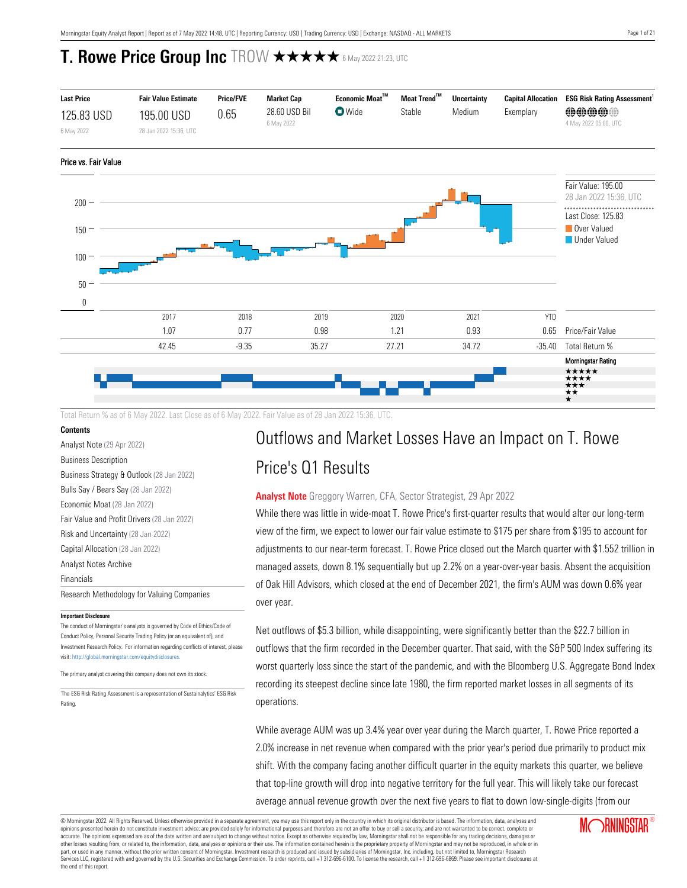

Total Return % as of 6 May 2022. Last Close as of 6 May 2022. Fair Value as of 28 Jan 2022 15:36, UTC.

### **Contents**

[Analyst Note](#page-0-0) (29 Apr 2022)

[Business Description](#page-1-0)

[Business Strategy & Outlook](#page-1-1) (28 Jan 2022) [Bulls Say / Bears Say](#page-1-2) (28 Jan 2022) [Economic Moat](#page-2-0) (28 Jan 2022) [Fair Value and Profit Drivers](#page-6-0) (28 Jan 2022) [Risk and Uncertainty](#page-7-0) (28 Jan 2022) [Capital Allocation](#page-7-1) (28 Jan 2022) [Analyst Notes Archive](#page-9-0) [Financials](#page-16-0) [Research Methodology for Valuing Companies](#page-17-0)

#### **Important Disclosure**

The conduct of Morningstar's analysts is governed by Code of Ethics/Code of Conduct Policy, Personal Security Trading Policy (or an equivalent of), and Investment Research Policy. For information regarding conflicts of interest, please visit: http://global.morningstar.com/equitydisclosures

The primary analyst covering this company does not own its stock.

1 The ESG Risk Rating Assessment is a representation of Sustainalytics' ESG Risk Rating.

# Outflows and Market Losses Have an Impact on T. Rowe

# Price's Q1 Results

## <span id="page-0-0"></span>**Analyst Note** Greggory Warren, CFA, Sector Strategist, 29 Apr 2022

While there was little in wide-moat T. Rowe Price's first-quarter results that would alter our long-term view of the firm, we expect to lower our fair value estimate to \$175 per share from \$195 to account for adjustments to our near-term forecast. T. Rowe Price closed out the March quarter with \$1.552 trillion in managed assets, down 8.1% sequentially but up 2.2% on a year-over-year basis. Absent the acquisition of Oak Hill Advisors, which closed at the end of December 2021, the firm's AUM was down 0.6% year over year.

Net outflows of \$5.3 billion, while disappointing, were significantly better than the \$22.7 billion in outflows that the firm recorded in the December quarter. That said, with the S&P 500 Index suffering its worst quarterly loss since the start of the pandemic, and with the Bloomberg U.S. Aggregate Bond Index recording its steepest decline since late 1980, the firm reported market losses in all segments of its operations.

While average AUM was up 3.4% year over year during the March quarter, T. Rowe Price reported a 2.0% increase in net revenue when compared with the prior year's period due primarily to product mix shift. With the company facing another difficult quarter in the equity markets this quarter, we believe that top-line growth will drop into negative territory for the full year. This will likely take our forecast average annual revenue growth over the next five years to flat to down low-single-digits (from our

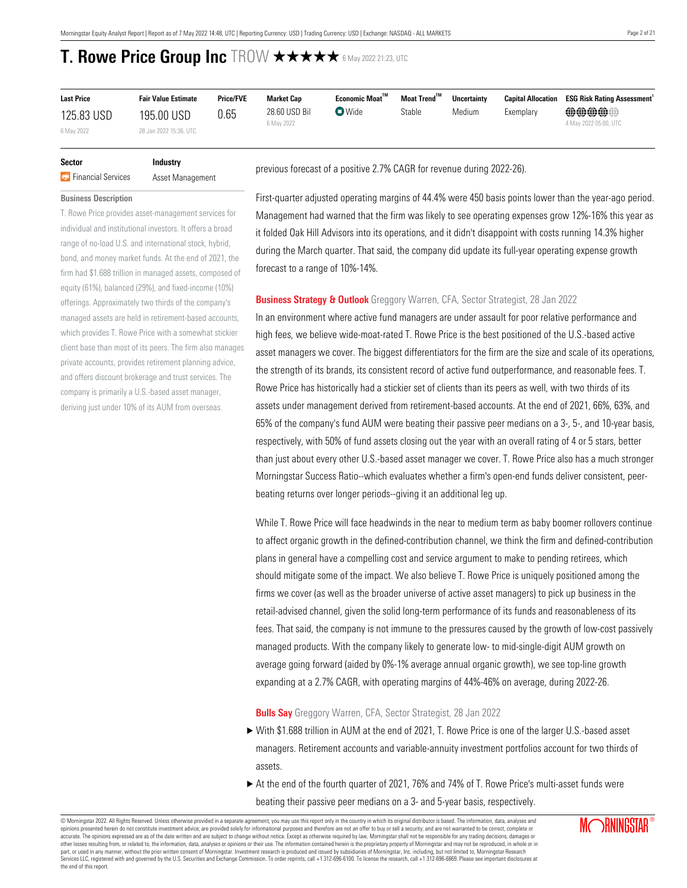| <b>Last Price</b>        | <b>Fair Value Estimate</b>           | <b>Price/FVE</b> | <b>Market Cap</b>           | Economic Moat <sup>™</sup> | Moat Trend <sup>™</sup> | <b>Uncertainty</b> | <b>Capital Allocation</b> | <b>ESG Risk Rating Assessment</b> |
|--------------------------|--------------------------------------|------------------|-----------------------------|----------------------------|-------------------------|--------------------|---------------------------|-----------------------------------|
| 125.83 USD<br>6 May 2022 | 195.00 USD<br>28 Jan 2022 15:36, UTC | 0.65             | 28.60 USD Bil<br>6 May 2022 | $\blacksquare$ Wide        | Stable                  | Medium             | Exemplary                 | @@@@@@<br>4 May 2022 05:00, UTC   |

## **Sector Industry Financial Services** Asset Management

T. Rowe Price provides asset-management services for individual and institutional investors. It offers a broad range of no-load U.S. and international stock, hybrid, bond, and money market funds. At the end of 2021, the firm had \$1.688 trillion in managed assets, composed of equity (61%), balanced (29%), and fixed-income (10%) offerings. Approximately two thirds of the company's managed assets are held in retirement-based accounts, which provides T. Rowe Price with a somewhat stickier client base than most of its peers. The firm also manages private accounts, provides retirement planning advice, and offers discount brokerage and trust services. The company is primarily a U.S.-based asset manager, deriving just under 10% of its AUM from overseas.

<span id="page-1-0"></span>**Business Description**

previous forecast of a positive 2.7% CAGR for revenue during 2022-26).

forecast to a range of 10%-14%.

## First-quarter adjusted operating margins of 44.4% were 450 basis points lower than the year-ago period. Management had warned that the firm was likely to see operating expenses grow 12%-16% this year as it folded Oak Hill Advisors into its operations, and it didn't disappoint with costs running 14.3% higher during the March quarter. That said, the company did update its full-year operating expense growth

### <span id="page-1-1"></span>**Business Strategy & Outlook** Greggory Warren, CFA, Sector Strategist, 28 Jan 2022

In an environment where active fund managers are under assault for poor relative performance and high fees, we believe wide-moat-rated T. Rowe Price is the best positioned of the U.S.-based active asset managers we cover. The biggest differentiators for the firm are the size and scale of its operations, the strength of its brands, its consistent record of active fund outperformance, and reasonable fees. T. Rowe Price has historically had a stickier set of clients than its peers as well, with two thirds of its assets under management derived from retirement-based accounts. At the end of 2021, 66%, 63%, and 65% of the company's fund AUM were beating their passive peer medians on a 3-, 5-, and 10-year basis, respectively, with 50% of fund assets closing out the year with an overall rating of 4 or 5 stars, better than just about every other U.S.-based asset manager we cover. T. Rowe Price also has a much stronger Morningstar Success Ratio--which evaluates whether a firm's open-end funds deliver consistent, peerbeating returns over longer periods--giving it an additional leg up.

While T. Rowe Price will face headwinds in the near to medium term as baby boomer rollovers continue to affect organic growth in the defined-contribution channel, we think the firm and defined-contribution plans in general have a compelling cost and service argument to make to pending retirees, which should mitigate some of the impact. We also believe T. Rowe Price is uniquely positioned among the firms we cover (as well as the broader universe of active asset managers) to pick up business in the retail-advised channel, given the solid long-term performance of its funds and reasonableness of its fees. That said, the company is not immune to the pressures caused by the growth of low-cost passively managed products. With the company likely to generate low- to mid-single-digit AUM growth on average going forward (aided by 0%-1% average annual organic growth), we see top-line growth expanding at a 2.7% CAGR, with operating margins of 44%-46% on average, during 2022-26.

### <span id="page-1-2"></span>**Bulls Say** Greggory Warren, CFA, Sector Strategist, 28 Jan 2022

- $\triangleright$  With \$1.688 trillion in AUM at the end of 2021, T. Rowe Price is one of the larger U.S.-based asset managers. Retirement accounts and variable-annuity investment portfolios account for two thirds of assets.
- $\triangleright$  At the end of the fourth quarter of 2021, 76% and 74% of T. Rowe Price's multi-asset funds were beating their passive peer medians on a 3- and 5-year basis, respectively.

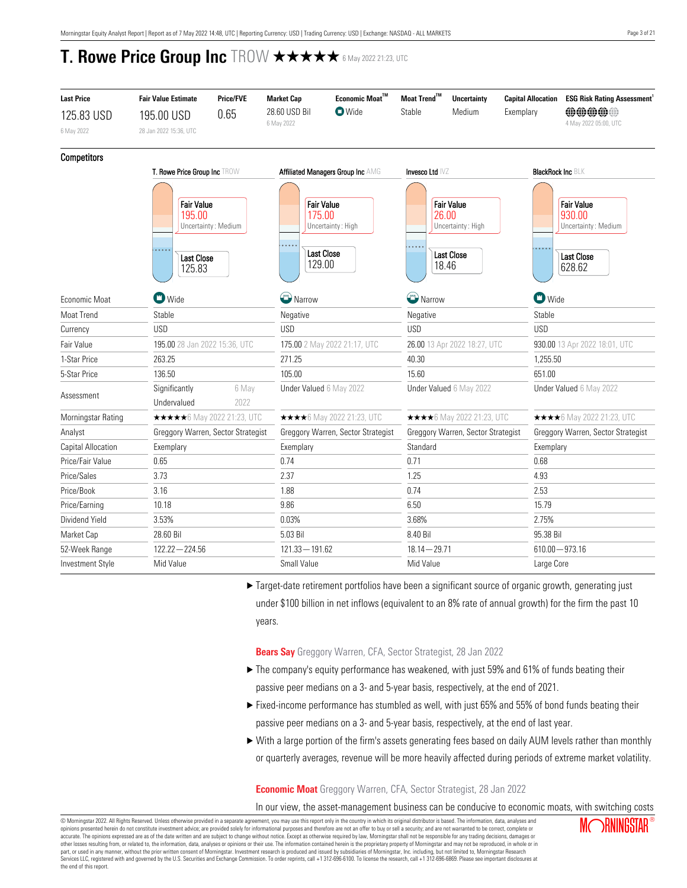| <b>Last Price</b>    | <b>Price/FVE</b><br><b>Fair Value Estimate</b>                                               | <b>Market Cap</b>           | $\sf Economic\; \sf{Moa}^{\sf TM}$<br><b>O</b> Wide                             | Moat Trend™     | <b>Uncertainty</b>                                                            | <b>Capital Allocation</b> | <b>ESG Risk Rating Assessment</b>                                                 |  |
|----------------------|----------------------------------------------------------------------------------------------|-----------------------------|---------------------------------------------------------------------------------|-----------------|-------------------------------------------------------------------------------|---------------------------|-----------------------------------------------------------------------------------|--|
| 125.83 USD           | 0.65<br>195.00 USD                                                                           | 28.60 USD Bil<br>6 May 2022 |                                                                                 | Stable          | Medium                                                                        | Exemplary                 | <b>偷偷偷偷偷</b><br>4 May 2022 05:00, UTC                                             |  |
| 6 May 2022           | 28 Jan 2022 15:36, UTC                                                                       |                             |                                                                                 |                 |                                                                               |                           |                                                                                   |  |
| <b>Competitors</b>   |                                                                                              |                             |                                                                                 |                 |                                                                               |                           |                                                                                   |  |
|                      | T. Rowe Price Group Inc TROW                                                                 |                             | <b>Affiliated Managers Group Inc AMG</b>                                        | Invesco Ltd IVZ | <b>BlackRock Inc BLK</b>                                                      |                           |                                                                                   |  |
|                      | <b>Fair Value</b><br>195.00<br>Uncertainty: Medium<br>$- - -$<br><b>Last Close</b><br>125.83 | .                           | <b>Fair Value</b><br>175.00<br>Uncertainty: High<br><b>Last Close</b><br>129.00 |                 | <b>Fair Value</b><br>26.00<br>Uncertainty: High<br><b>Last Close</b><br>18.46 | $-0.00$                   | <b>Fair Value</b><br>930.00<br>Uncertainty: Medium<br><b>Last Close</b><br>628.62 |  |
| <b>Fconomic Moat</b> | $\blacksquare$ Wide                                                                          | Narrow                      |                                                                                 |                 | Narrow                                                                        |                           | $\bullet$ Wide                                                                    |  |
| <b>Moat Trend</b>    | Stable                                                                                       | Negative                    |                                                                                 |                 |                                                                               | Stable                    |                                                                                   |  |
| Currency             | <b>USD</b>                                                                                   | <b>USD</b>                  |                                                                                 | <b>USD</b>      |                                                                               | <b>USD</b>                |                                                                                   |  |
| Fair Value           | 195.00 28 Jan 2022 15:36, UTC                                                                |                             | 175.00 2 May 2022 21:17, UTC                                                    |                 | 26.00 13 Apr 2022 18:27, UTC                                                  |                           | 930.00 13 Apr 2022 18:01, UTC                                                     |  |
| 1-Star Price         | 263.25                                                                                       | 271.25                      |                                                                                 |                 | 40.30                                                                         |                           | 1,255.50                                                                          |  |
| 5-Star Price         | 136.50                                                                                       | 105.00                      |                                                                                 | 15.60           |                                                                               | 651.00                    |                                                                                   |  |
| Assessment           | Significantly<br>Undervalued                                                                 | 6 May<br>2022               | Under Valued 6 May 2022                                                         |                 | Under Valued 6 May 2022                                                       |                           | Under Valued 6 May 2022                                                           |  |
| Morningstar Rating   | <b>★★★★★</b> 6 May 2022 21:23, UTC                                                           |                             | <b>★★★★</b> 6 May 2022 21:23, UTC                                               |                 | <b>★★★★</b> 6 May 2022 21:23, UTC                                             |                           | ★★★★6 May 2022 21:23, UTC                                                         |  |
| Analyst              | Greggory Warren, Sector Strategist                                                           |                             | Greggory Warren, Sector Strategist                                              |                 | Greggory Warren, Sector Strategist                                            |                           | Greggory Warren, Sector Strategist                                                |  |
| Capital Allocation   | Exemplary                                                                                    | Exemplary                   |                                                                                 | Standard        |                                                                               | Exemplary                 |                                                                                   |  |
| Price/Fair Value     | 0.65                                                                                         | 0.74                        |                                                                                 | 0.71            |                                                                               | 0.68                      |                                                                                   |  |
| Price/Sales          | 3.73                                                                                         | 2.37                        |                                                                                 | 1.25            |                                                                               | 4.93                      |                                                                                   |  |
| Price/Book           | 3.16                                                                                         | 1.88                        |                                                                                 | 0.74            |                                                                               | 2.53                      |                                                                                   |  |
| Price/Earning        | 10.18                                                                                        | 9.86                        |                                                                                 | 6.50            |                                                                               | 15.79                     |                                                                                   |  |
| Dividend Yield       | 3.53%                                                                                        | 0.03%                       |                                                                                 |                 | 3.68%                                                                         |                           |                                                                                   |  |
| Market Cap           | 28.60 Bil                                                                                    | 5.03 Bil                    |                                                                                 |                 | 8.40 Bil                                                                      |                           | 95.38 Bil                                                                         |  |
| 52-Week Range        | $122.22 - 224.56$                                                                            | $121.33 - 191.62$           |                                                                                 | $18.14 - 29.71$ |                                                                               |                           | $610.00 - 973.16$                                                                 |  |
| Investment Style     | Mid Value                                                                                    | Small Value                 |                                                                                 |                 |                                                                               | Large Core                |                                                                                   |  |

▶ Target-date retirement portfolios have been a significant source of organic growth, generating just under \$100 billion in net inflows (equivalent to an 8% rate of annual growth) for the firm the past 10 years.

**Bears Say** Greggory Warren, CFA, Sector Strategist, 28 Jan 2022

- ▶ The company's equity performance has weakened, with just 59% and 61% of funds beating their passive peer medians on a 3- and 5-year basis, respectively, at the end of 2021.
- $\blacktriangleright$  Fixed-income performance has stumbled as well, with just 65% and 55% of bond funds beating their passive peer medians on a 3- and 5-year basis, respectively, at the end of last year.
- $\triangleright$  With a large portion of the firm's assets generating fees based on daily AUM levels rather than monthly or quarterly averages, revenue will be more heavily affected during periods of extreme market volatility.

## <span id="page-2-0"></span>**Economic Moat** Greggory Warren, CFA, Sector Strategist, 28 Jan 2022

In our view, the asset-management business can be conducive to economic moats, with switching costs

© Morningstar 2022. All Rights Reserved. Unless otherwise provided in a separate agreement, you may use this report only in the country in which its original distributor is based. The information, data, analyses and opinions presented herein do not constitute investment advice; are provided solely for informational purposes and therefore are not an offer to buy or sell a security; and are not warranted to be correct, complete or accurate. The opinions expressed are as of the date written and are subject to change without notice. Except as otherwise required by law, Morningstar shall not be responsible for any trading decisions, damages or<br>other lo part, or used in any manner, without the prior written consent of Morningstar. Investment research is produced and issued by subsidiaries of Morningstar, Inc. including, but not limited to, Morningstar Research<br>Services LL the end of this report.

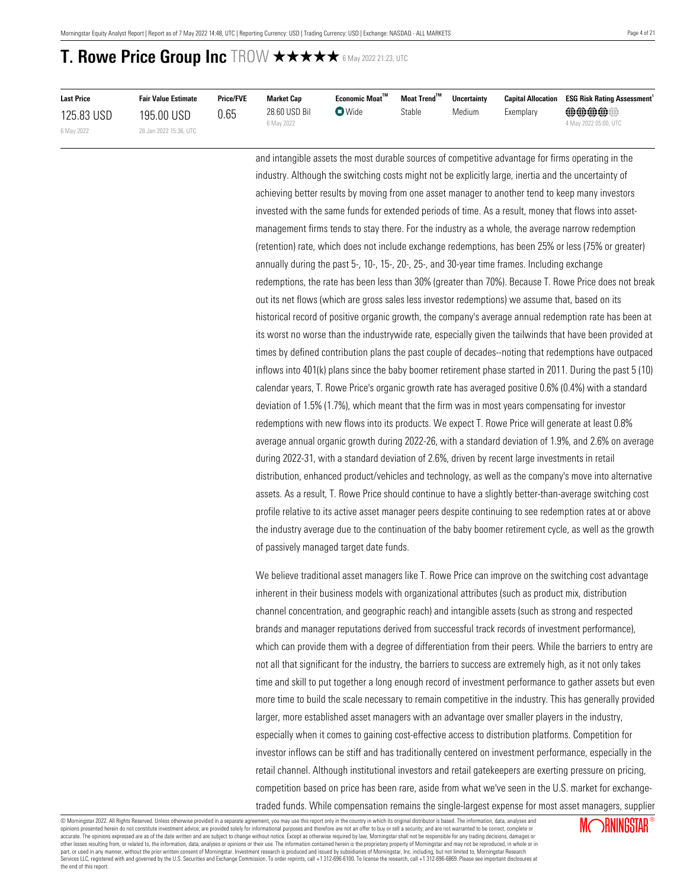| <b>Last Price</b> | <b>Fair Value Estimate</b> | <b>Price/FVE</b> | <b>Market Cap</b>           | Economic Moat™ | Moat Trend™ | <b>Uncertainty</b> | <b>Capital Allocation</b> | <b>ESG Risk Rating Assessment'</b> |
|-------------------|----------------------------|------------------|-----------------------------|----------------|-------------|--------------------|---------------------------|------------------------------------|
| 125.83 USD        | 195.00 USD                 | 0.65             | 28.60 USD Bil<br>6 May 2022 | $\nabla$ Wide  | Stable      | Medium             | Exemplarv                 | @@@@@@<br>4 May 2022 05:00, UTC    |
| 6 May 2022        | 28 Jan 2022 15:36, UTC     |                  |                             |                |             |                    |                           |                                    |

and intangible assets the most durable sources of competitive advantage for firms operating in the industry. Although the switching costs might not be explicitly large, inertia and the uncertainty of achieving better results by moving from one asset manager to another tend to keep many investors invested with the same funds for extended periods of time. As a result, money that flows into assetmanagement firms tends to stay there. For the industry as a whole, the average narrow redemption (retention) rate, which does not include exchange redemptions, has been 25% or less (75% or greater) annually during the past 5-, 10-, 15-, 20-, 25-, and 30-year time frames. Including exchange redemptions, the rate has been less than 30% (greater than 70%). Because T. Rowe Price does not break out its net flows (which are gross sales less investor redemptions) we assume that, based on its historical record of positive organic growth, the company's average annual redemption rate has been at its worst no worse than the industrywide rate, especially given the tailwinds that have been provided at times by defined contribution plans the past couple of decades--noting that redemptions have outpaced inflows into 401(k) plans since the baby boomer retirement phase started in 2011. During the past 5 (10) calendar years, T. Rowe Price's organic growth rate has averaged positive 0.6% (0.4%) with a standard deviation of 1.5% (1.7%), which meant that the firm was in most years compensating for investor redemptions with new flows into its products. We expect T. Rowe Price will generate at least 0.8% average annual organic growth during 2022-26, with a standard deviation of 1.9%, and 2.6% on average during 2022-31, with a standard deviation of 2.6%, driven by recent large investments in retail distribution, enhanced product/vehicles and technology, as well as the company's move into alternative assets. As a result, T. Rowe Price should continue to have a slightly better-than-average switching cost profile relative to its active asset manager peers despite continuing to see redemption rates at or above the industry average due to the continuation of the baby boomer retirement cycle, as well as the growth of passively managed target date funds.

We believe traditional asset managers like T. Rowe Price can improve on the switching cost advantage inherent in their business models with organizational attributes (such as product mix, distribution channel concentration, and geographic reach) and intangible assets (such as strong and respected brands and manager reputations derived from successful track records of investment performance), which can provide them with a degree of differentiation from their peers. While the barriers to entry are not all that significant for the industry, the barriers to success are extremely high, as it not only takes time and skill to put together a long enough record of investment performance to gather assets but even more time to build the scale necessary to remain competitive in the industry. This has generally provided larger, more established asset managers with an advantage over smaller players in the industry, especially when it comes to gaining cost-effective access to distribution platforms. Competition for investor inflows can be stiff and has traditionally centered on investment performance, especially in the retail channel. Although institutional investors and retail gatekeepers are exerting pressure on pricing, competition based on price has been rare, aside from what we've seen in the U.S. market for exchangetraded funds. While compensation remains the single-largest expense for most asset managers, supplier

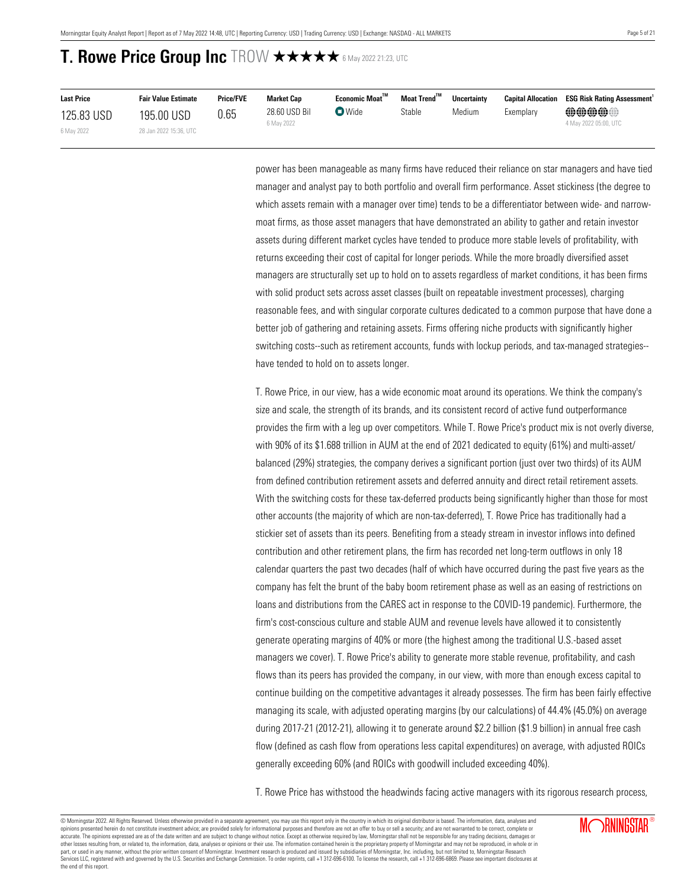| <b>Last Price</b> | <b>Fair Value Estimate</b> | <b>Price/FVE</b> | Market Cap                  | Economic Moat <sup>™</sup> | Moat Trend™ | <b>Uncertainty</b> | <b>Capital Allocation</b> | <b>ESG Risk Rating Assessment</b>                   |
|-------------------|----------------------------|------------------|-----------------------------|----------------------------|-------------|--------------------|---------------------------|-----------------------------------------------------|
| 125.83 USD        | 195.00 USD                 | 0.65             | 28.60 USD Bil<br>6 May 2022 | $\bullet$ Wide             | Stable      | Medium             | Exemplary                 | $\oplus\oplus\oplus\oplus$<br>4 May 2022 05:00, UTC |
| 6 May 2022        | 28 Jan 2022 15:36, UTC     |                  |                             |                            |             |                    |                           |                                                     |

power has been manageable as many firms have reduced their reliance on star managers and have tied manager and analyst pay to both portfolio and overall firm performance. Asset stickiness (the degree to which assets remain with a manager over time) tends to be a differentiator between wide- and narrowmoat firms, as those asset managers that have demonstrated an ability to gather and retain investor assets during different market cycles have tended to produce more stable levels of profitability, with returns exceeding their cost of capital for longer periods. While the more broadly diversified asset managers are structurally set up to hold on to assets regardless of market conditions, it has been firms with solid product sets across asset classes (built on repeatable investment processes), charging reasonable fees, and with singular corporate cultures dedicated to a common purpose that have done a better job of gathering and retaining assets. Firms offering niche products with significantly higher switching costs--such as retirement accounts, funds with lockup periods, and tax-managed strategies- have tended to hold on to assets longer.

T. Rowe Price, in our view, has a wide economic moat around its operations. We think the company's size and scale, the strength of its brands, and its consistent record of active fund outperformance provides the firm with a leg up over competitors. While T. Rowe Price's product mix is not overly diverse, with 90% of its \$1.688 trillion in AUM at the end of 2021 dedicated to equity (61%) and multi-asset/ balanced (29%) strategies, the company derives a significant portion (just over two thirds) of its AUM from defined contribution retirement assets and deferred annuity and direct retail retirement assets. With the switching costs for these tax-deferred products being significantly higher than those for most other accounts (the majority of which are non-tax-deferred), T. Rowe Price has traditionally had a stickier set of assets than its peers. Benefiting from a steady stream in investor inflows into defined contribution and other retirement plans, the firm has recorded net long-term outflows in only 18 calendar quarters the past two decades (half of which have occurred during the past five years as the company has felt the brunt of the baby boom retirement phase as well as an easing of restrictions on loans and distributions from the CARES act in response to the COVID-19 pandemic). Furthermore, the firm's cost-conscious culture and stable AUM and revenue levels have allowed it to consistently generate operating margins of 40% or more (the highest among the traditional U.S.-based asset managers we cover). T. Rowe Price's ability to generate more stable revenue, profitability, and cash flows than its peers has provided the company, in our view, with more than enough excess capital to continue building on the competitive advantages it already possesses. The firm has been fairly effective managing its scale, with adjusted operating margins (by our calculations) of 44.4% (45.0%) on average during 2017-21 (2012-21), allowing it to generate around \$2.2 billion (\$1.9 billion) in annual free cash flow (defined as cash flow from operations less capital expenditures) on average, with adjusted ROICs generally exceeding 60% (and ROICs with goodwill included exceeding 40%).

T. Rowe Price has withstood the headwinds facing active managers with its rigorous research process,

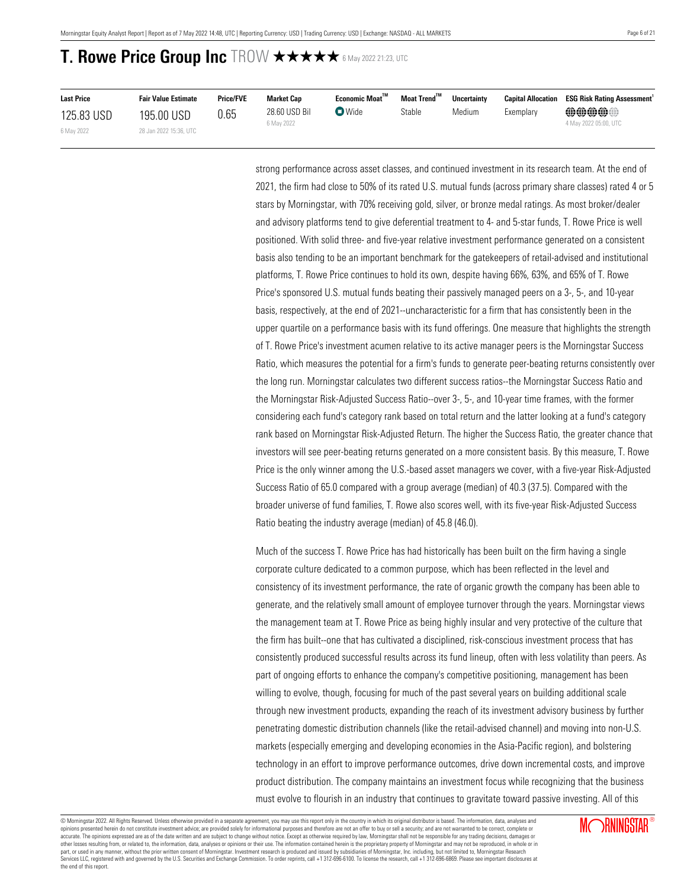| <b>Last Price</b> | <b>Fair Value Estimate</b> | <b>Price/FVE</b> | <b>Market Cap</b>           | Economic Moat <sup>™</sup> | Moat Trend™ | <b>Uncertainty</b> | <b>Capital Allocation</b> | <b>ESG Risk Rating Assessment</b>     |
|-------------------|----------------------------|------------------|-----------------------------|----------------------------|-------------|--------------------|---------------------------|---------------------------------------|
| 125.83 USD        | 195.00 USD                 | 0.65             | 28.60 USD Bil<br>6 May 2022 | $\nabla$ Wide              | Stable      | Medium             | Exemplary                 | <b>@@@@@</b><br>4 May 2022 05:00, UTC |
| 6 May 2022        | 28 Jan 2022 15:36. UTC     |                  |                             |                            |             |                    |                           |                                       |

strong performance across asset classes, and continued investment in its research team. At the end of 2021, the firm had close to 50% of its rated U.S. mutual funds (across primary share classes) rated 4 or 5 stars by Morningstar, with 70% receiving gold, silver, or bronze medal ratings. As most broker/dealer and advisory platforms tend to give deferential treatment to 4- and 5-star funds, T. Rowe Price is well positioned. With solid three- and five-year relative investment performance generated on a consistent basis also tending to be an important benchmark for the gatekeepers of retail-advised and institutional platforms, T. Rowe Price continues to hold its own, despite having 66%, 63%, and 65% of T. Rowe Price's sponsored U.S. mutual funds beating their passively managed peers on a 3-, 5-, and 10-year basis, respectively, at the end of 2021--uncharacteristic for a firm that has consistently been in the upper quartile on a performance basis with its fund offerings. One measure that highlights the strength of T. Rowe Price's investment acumen relative to its active manager peers is the Morningstar Success Ratio, which measures the potential for a firm's funds to generate peer-beating returns consistently over the long run. Morningstar calculates two different success ratios--the Morningstar Success Ratio and the Morningstar Risk-Adjusted Success Ratio--over 3-, 5-, and 10-year time frames, with the former considering each fund's category rank based on total return and the latter looking at a fund's category rank based on Morningstar Risk-Adjusted Return. The higher the Success Ratio, the greater chance that investors will see peer-beating returns generated on a more consistent basis. By this measure, T. Rowe Price is the only winner among the U.S.-based asset managers we cover, with a five-year Risk-Adjusted Success Ratio of 65.0 compared with a group average (median) of 40.3 (37.5). Compared with the broader universe of fund families, T. Rowe also scores well, with its five-year Risk-Adjusted Success Ratio beating the industry average (median) of 45.8 (46.0).

Much of the success T. Rowe Price has had historically has been built on the firm having a single corporate culture dedicated to a common purpose, which has been reflected in the level and consistency of its investment performance, the rate of organic growth the company has been able to generate, and the relatively small amount of employee turnover through the years. Morningstar views the management team at T. Rowe Price as being highly insular and very protective of the culture that the firm has built--one that has cultivated a disciplined, risk-conscious investment process that has consistently produced successful results across its fund lineup, often with less volatility than peers. As part of ongoing efforts to enhance the company's competitive positioning, management has been willing to evolve, though, focusing for much of the past several years on building additional scale through new investment products, expanding the reach of its investment advisory business by further penetrating domestic distribution channels (like the retail-advised channel) and moving into non-U.S. markets (especially emerging and developing economies in the Asia-Pacific region), and bolstering technology in an effort to improve performance outcomes, drive down incremental costs, and improve product distribution. The company maintains an investment focus while recognizing that the business must evolve to flourish in an industry that continues to gravitate toward passive investing. All of this

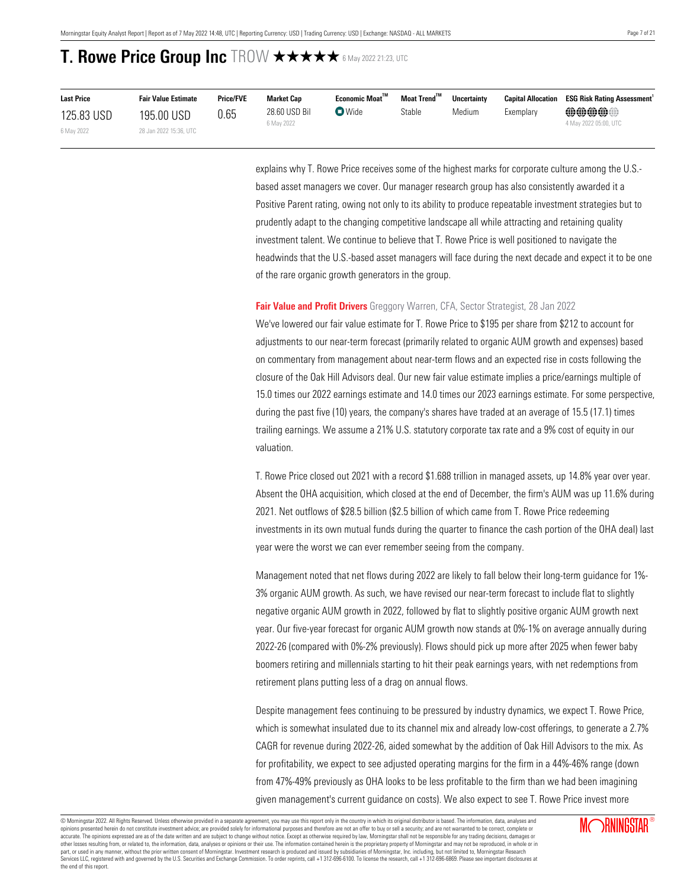| <b>Last Price</b> | <b>Fair Value Estimate</b> | <b>Price/FVE</b> | <b>Market Cap</b>           | Economic Moat™          | Moat Trend™ | <b>Uncertainty</b> | <b>Capital Allocation</b>             | <b>ESG Risk Rating Assessment</b> <sup>1</sup> |
|-------------------|----------------------------|------------------|-----------------------------|-------------------------|-------------|--------------------|---------------------------------------|------------------------------------------------|
| 125.83 USD        | 195.00 USD                 | 0.65             | 28.60 USD Bil<br>6 May 2022 | $\nabla$ Wide<br>Stable | Medium      | Exemplary          | <b>@@@@@</b><br>4 May 2022 05:00, UTC |                                                |
| 6 May 2022        | 28 Jan 2022 15:36. UTC     |                  |                             |                         |             |                    |                                       |                                                |

explains why T. Rowe Price receives some of the highest marks for corporate culture among the U.S. based asset managers we cover. Our manager research group has also consistently awarded it a Positive Parent rating, owing not only to its ability to produce repeatable investment strategies but to prudently adapt to the changing competitive landscape all while attracting and retaining quality investment talent. We continue to believe that T. Rowe Price is well positioned to navigate the headwinds that the U.S.-based asset managers will face during the next decade and expect it to be one of the rare organic growth generators in the group.

### <span id="page-6-0"></span>**Fair Value and Profit Drivers** Greggory Warren, CFA, Sector Strategist, 28 Jan 2022

We've lowered our fair value estimate for T. Rowe Price to \$195 per share from \$212 to account for adjustments to our near-term forecast (primarily related to organic AUM growth and expenses) based on commentary from management about near-term flows and an expected rise in costs following the closure of the Oak Hill Advisors deal. Our new fair value estimate implies a price/earnings multiple of 15.0 times our 2022 earnings estimate and 14.0 times our 2023 earnings estimate. For some perspective, during the past five (10) years, the company's shares have traded at an average of 15.5 (17.1) times trailing earnings. We assume a 21% U.S. statutory corporate tax rate and a 9% cost of equity in our valuation.

T. Rowe Price closed out 2021 with a record \$1.688 trillion in managed assets, up 14.8% year over year. Absent the OHA acquisition, which closed at the end of December, the firm's AUM was up 11.6% during 2021. Net outflows of \$28.5 billion (\$2.5 billion of which came from T. Rowe Price redeeming investments in its own mutual funds during the quarter to finance the cash portion of the OHA deal) last year were the worst we can ever remember seeing from the company.

Management noted that net flows during 2022 are likely to fall below their long-term guidance for 1%- 3% organic AUM growth. As such, we have revised our near-term forecast to include flat to slightly negative organic AUM growth in 2022, followed by flat to slightly positive organic AUM growth next year. Our five-year forecast for organic AUM growth now stands at 0%-1% on average annually during 2022-26 (compared with 0%-2% previously). Flows should pick up more after 2025 when fewer baby boomers retiring and millennials starting to hit their peak earnings years, with net redemptions from retirement plans putting less of a drag on annual flows.

Despite management fees continuing to be pressured by industry dynamics, we expect T. Rowe Price, which is somewhat insulated due to its channel mix and already low-cost offerings, to generate a 2.7% CAGR for revenue during 2022-26, aided somewhat by the addition of Oak Hill Advisors to the mix. As for profitability, we expect to see adjusted operating margins for the firm in a 44%-46% range (down from 47%-49% previously as OHA looks to be less profitable to the firm than we had been imagining given management's current guidance on costs). We also expect to see T. Rowe Price invest more

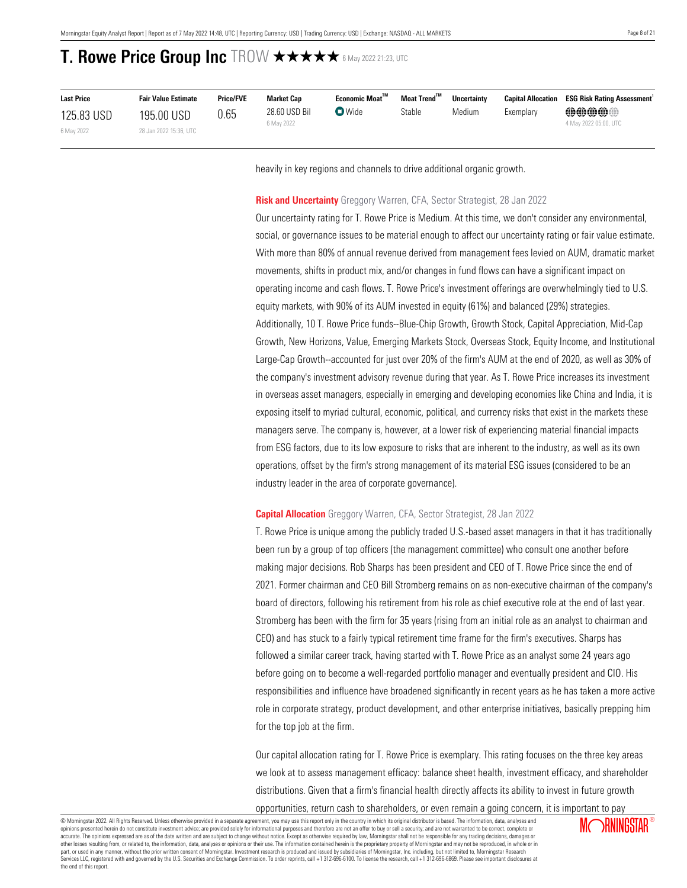| <b>Last Price</b> | <b>Fair Value Estimate</b> | <b>Price/FVE</b> | Market Cap                  | Economic Moat™ | Moat Trend <sup>™</sup> | <b>Uncertainty</b> |           | <b>Capital Allocation ESG Risk Rating Assessment'</b> |
|-------------------|----------------------------|------------------|-----------------------------|----------------|-------------------------|--------------------|-----------|-------------------------------------------------------|
| 125.83 USD        | 195.00 USD                 | 0.65             | 28.60 USD Bil<br>6 May 2022 | $\bullet$ Wide | Stable                  | Medium             | Exemplarv | @@@@@@<br>4 May 2022 05:00, UTC                       |
| 6 May 2022        | 28 Jan 2022 15:36, UTC     |                  |                             |                |                         |                    |           |                                                       |

heavily in key regions and channels to drive additional organic growth.

### <span id="page-7-0"></span>**Risk and Uncertainty** Greggory Warren, CFA, Sector Strategist, 28 Jan 2022

Our uncertainty rating for T. Rowe Price is Medium. At this time, we don't consider any environmental, social, or governance issues to be material enough to affect our uncertainty rating or fair value estimate. With more than 80% of annual revenue derived from management fees levied on AUM, dramatic market movements, shifts in product mix, and/or changes in fund flows can have a significant impact on operating income and cash flows. T. Rowe Price's investment offerings are overwhelmingly tied to U.S. equity markets, with 90% of its AUM invested in equity (61%) and balanced (29%) strategies. Additionally, 10 T. Rowe Price funds--Blue-Chip Growth, Growth Stock, Capital Appreciation, Mid-Cap Growth, New Horizons, Value, Emerging Markets Stock, Overseas Stock, Equity Income, and Institutional Large-Cap Growth--accounted for just over 20% of the firm's AUM at the end of 2020, as well as 30% of the company's investment advisory revenue during that year. As T. Rowe Price increases its investment in overseas asset managers, especially in emerging and developing economies like China and India, it is exposing itself to myriad cultural, economic, political, and currency risks that exist in the markets these managers serve. The company is, however, at a lower risk of experiencing material financial impacts from ESG factors, due to its low exposure to risks that are inherent to the industry, as well as its own operations, offset by the firm's strong management of its material ESG issues (considered to be an industry leader in the area of corporate governance).

### <span id="page-7-1"></span>**Capital Allocation** Greggory Warren, CFA, Sector Strategist, 28 Jan 2022

T. Rowe Price is unique among the publicly traded U.S.-based asset managers in that it has traditionally been run by a group of top officers (the management committee) who consult one another before making major decisions. Rob Sharps has been president and CEO of T. Rowe Price since the end of 2021. Former chairman and CEO Bill Stromberg remains on as non-executive chairman of the company's board of directors, following his retirement from his role as chief executive role at the end of last year. Stromberg has been with the firm for 35 years (rising from an initial role as an analyst to chairman and CEO) and has stuck to a fairly typical retirement time frame for the firm's executives. Sharps has followed a similar career track, having started with T. Rowe Price as an analyst some 24 years ago before going on to become a well-regarded portfolio manager and eventually president and CIO. His responsibilities and influence have broadened significantly in recent years as he has taken a more active role in corporate strategy, product development, and other enterprise initiatives, basically prepping him for the top job at the firm.

Our capital allocation rating for T. Rowe Price is exemplary. This rating focuses on the three key areas we look at to assess management efficacy: balance sheet health, investment efficacy, and shareholder distributions. Given that a firm's financial health directly affects its ability to invest in future growth

opportunities, return cash to shareholders, or even remain a going concern, it is important to pay

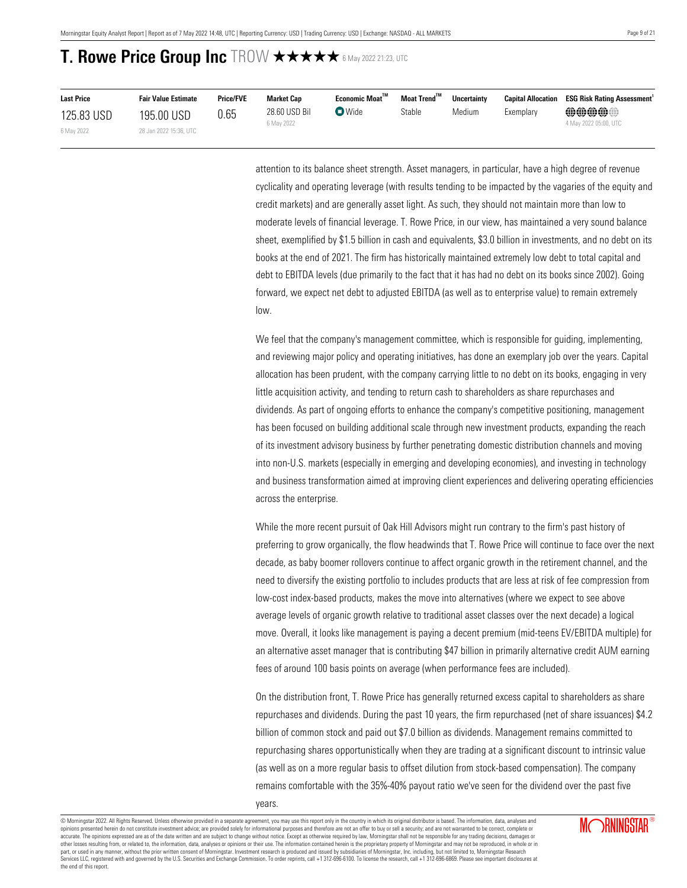| <b>Last Price</b> | <b>Fair Value Estimate</b> | <b>Price/FVE</b> | <b>Market Cap</b>           | $E$ conomic Moat $^{\text{TM}}$          | Moat Trend™ | <b>Uncertainty</b> | <b>Capital Allocation</b> | <b>ESG Risk Rating Assessment</b>                   |
|-------------------|----------------------------|------------------|-----------------------------|------------------------------------------|-------------|--------------------|---------------------------|-----------------------------------------------------|
| 125.83 USD        | 195.00 USD                 | 0.65             | 28.60 USD Bil<br>6 May 2022 | $\mathbf{\mathbf{\mathsf{\Omega}}}$ Wide | Stable      | Medium             | Exemplary                 | $\oplus\oplus\oplus\oplus$<br>4 May 2022 05:00, UTC |
| 6 May 2022        | 28 Jan 2022 15:36, UTC     |                  |                             |                                          |             |                    |                           |                                                     |

attention to its balance sheet strength. Asset managers, in particular, have a high degree of revenue cyclicality and operating leverage (with results tending to be impacted by the vagaries of the equity and credit markets) and are generally asset light. As such, they should not maintain more than low to moderate levels of financial leverage. T. Rowe Price, in our view, has maintained a very sound balance sheet, exemplified by \$1.5 billion in cash and equivalents, \$3.0 billion in investments, and no debt on its books at the end of 2021. The firm has historically maintained extremely low debt to total capital and debt to EBITDA levels (due primarily to the fact that it has had no debt on its books since 2002). Going forward, we expect net debt to adjusted EBITDA (as well as to enterprise value) to remain extremely low.

We feel that the company's management committee, which is responsible for guiding, implementing, and reviewing major policy and operating initiatives, has done an exemplary job over the years. Capital allocation has been prudent, with the company carrying little to no debt on its books, engaging in very little acquisition activity, and tending to return cash to shareholders as share repurchases and dividends. As part of ongoing efforts to enhance the company's competitive positioning, management has been focused on building additional scale through new investment products, expanding the reach of its investment advisory business by further penetrating domestic distribution channels and moving into non-U.S. markets (especially in emerging and developing economies), and investing in technology and business transformation aimed at improving client experiences and delivering operating efficiencies across the enterprise.

While the more recent pursuit of Oak Hill Advisors might run contrary to the firm's past history of preferring to grow organically, the flow headwinds that T. Rowe Price will continue to face over the next decade, as baby boomer rollovers continue to affect organic growth in the retirement channel, and the need to diversify the existing portfolio to includes products that are less at risk of fee compression from low-cost index-based products, makes the move into alternatives (where we expect to see above average levels of organic growth relative to traditional asset classes over the next decade) a logical move. Overall, it looks like management is paying a decent premium (mid-teens EV/EBITDA multiple) for an alternative asset manager that is contributing \$47 billion in primarily alternative credit AUM earning fees of around 100 basis points on average (when performance fees are included).

On the distribution front, T. Rowe Price has generally returned excess capital to shareholders as share repurchases and dividends. During the past 10 years, the firm repurchased (net of share issuances) \$4.2 billion of common stock and paid out \$7.0 billion as dividends. Management remains committed to repurchasing shares opportunistically when they are trading at a significant discount to intrinsic value (as well as on a more regular basis to offset dilution from stock-based compensation). The company remains comfortable with the 35%-40% payout ratio we've seen for the dividend over the past five

© Morningstar 2022. All Rights Reserved. Unless otherwise provided in a separate agreement, you may use this report only in the country in which its original distributor is based. The information, data, analyses and opinions presented herein do not constitute investment advice; are provided solely for informational purposes and therefore are not an offer to buy or sell a security; and are not warranted to be correct, complete or accurate. The opinions expressed are as of the date written and are subject to change without notice. Except as otherwise required by law, Morningstar shall not be responsible for any trading decisions, damages or other losses resulting from, or related to, the information, data, analyses or opinions or their use. The information contained herein is the proprietary property of Morningstar and may not be reproduced, in whole or in part, or used in any manner, without the prior written consent of Morningstar. Investment research is produced and issued by subsidiaries of Morningstar, Inc. including, but not limited to, Morningstar Research<br>Services LL the end of this report.

years.

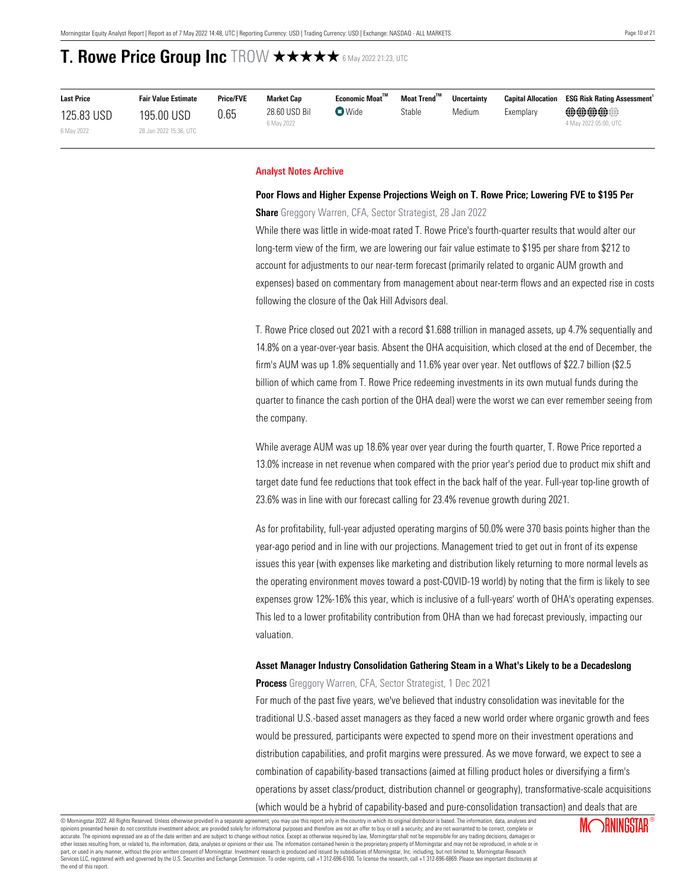| <b>Last Price</b> | <b>Fair Value Estimate</b> | <b>Price/FVE</b> | <b>Market Cap</b>           | Economic Moat™ | Moat Trend™ | <b>Uncertainty</b> | <b>Capital Allocation</b> | <b>ESG Risk Rating Assessment</b>                   |
|-------------------|----------------------------|------------------|-----------------------------|----------------|-------------|--------------------|---------------------------|-----------------------------------------------------|
| 125.83 USD        | 195.00 USD                 | 0.65             | 28.60 USD Bil<br>6 May 2022 | $\bullet$ Wide | Stable      | Medium             | Exemplary                 | $\oplus\oplus\oplus\oplus$<br>4 May 2022 05:00. UTC |
| 6 May 2022        | 28 Jan 2022 15:36, UTC     |                  |                             |                |             |                    |                           |                                                     |

### <span id="page-9-0"></span>**Analyst Notes Archive**

### **Poor Flows and Higher Expense Projections Weigh on T. Rowe Price; Lowering FVE to \$195 Per**

**Share** Greggory Warren, CFA, Sector Strategist, 28 Jan 2022

While there was little in wide-moat rated T. Rowe Price's fourth-quarter results that would alter our long-term view of the firm, we are lowering our fair value estimate to \$195 per share from \$212 to account for adjustments to our near-term forecast (primarily related to organic AUM growth and expenses) based on commentary from management about near-term flows and an expected rise in costs following the closure of the Oak Hill Advisors deal.

T. Rowe Price closed out 2021 with a record \$1.688 trillion in managed assets, up 4.7% sequentially and 14.8% on a year-over-year basis. Absent the OHA acquisition, which closed at the end of December, the firm's AUM was up 1.8% sequentially and 11.6% year over year. Net outflows of \$22.7 billion (\$2.5 billion of which came from T. Rowe Price redeeming investments in its own mutual funds during the quarter to finance the cash portion of the OHA deal) were the worst we can ever remember seeing from the company.

While average AUM was up 18.6% year over year during the fourth quarter, T. Rowe Price reported a 13.0% increase in net revenue when compared with the prior year's period due to product mix shift and target date fund fee reductions that took effect in the back half of the year. Full-year top-line growth of 23.6% was in line with our forecast calling for 23.4% revenue growth during 2021.

As for profitability, full-year adjusted operating margins of 50.0% were 370 basis points higher than the year-ago period and in line with our projections. Management tried to get out in front of its expense issues this year (with expenses like marketing and distribution likely returning to more normal levels as the operating environment moves toward a post-COVID-19 world) by noting that the firm is likely to see expenses grow 12%-16% this year, which is inclusive of a full-years' worth of OHA's operating expenses. This led to a lower profitability contribution from OHA than we had forecast previously, impacting our valuation.

## **Asset Manager Industry Consolidation Gathering Steam in a What's Likely to be a Decadeslong Process** Greggory Warren, CFA, Sector Strategist, 1 Dec 2021

For much of the past five years, we've believed that industry consolidation was inevitable for the traditional U.S.-based asset managers as they faced a new world order where organic growth and fees would be pressured, participants were expected to spend more on their investment operations and distribution capabilities, and profit margins were pressured. As we move forward, we expect to see a combination of capability-based transactions (aimed at filling product holes or diversifying a firm's operations by asset class/product, distribution channel or geography), transformative-scale acquisitions (which would be a hybrid of capability-based and pure-consolidation transaction) and deals that are

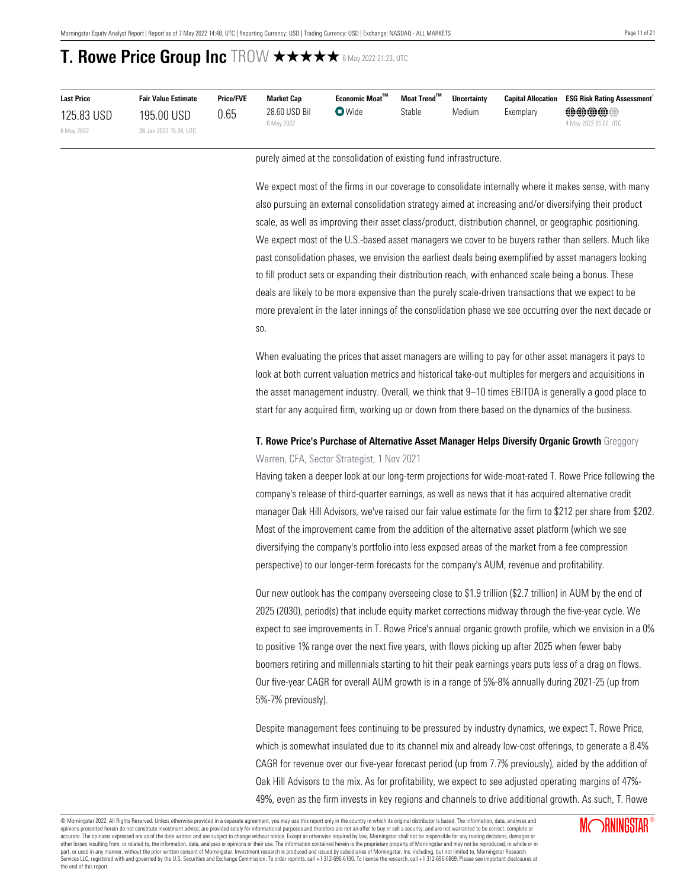| <b>Last Price</b> | <b>Fair Value Estimate</b> | <b>Price/FVE</b> | <b>Market Cap</b>           | Economic Moat <sup>™</sup> | Moat Trend™ | <b>Uncertainty</b> | <b>Capital Allocation</b> | <b>ESG Risk Rating Assessment</b> |
|-------------------|----------------------------|------------------|-----------------------------|----------------------------|-------------|--------------------|---------------------------|-----------------------------------|
| 125.83 USD        | 195.00 USD                 | 0.65             | 28.60 USD Bil<br>6 May 2022 | $\nabla$ Wide              | Stable      | Medium             | Exemplary                 | @@@@@@<br>4 May 2022 05:00, UTC   |
| 6 May 2022        | 28 Jan 2022 15:36, UTC     |                  |                             |                            |             |                    |                           |                                   |

purely aimed at the consolidation of existing fund infrastructure.

We expect most of the firms in our coverage to consolidate internally where it makes sense, with many also pursuing an external consolidation strategy aimed at increasing and/or diversifying their product scale, as well as improving their asset class/product, distribution channel, or geographic positioning. We expect most of the U.S.-based asset managers we cover to be buyers rather than sellers. Much like past consolidation phases, we envision the earliest deals being exemplified by asset managers looking to fill product sets or expanding their distribution reach, with enhanced scale being a bonus. These deals are likely to be more expensive than the purely scale-driven transactions that we expect to be more prevalent in the later innings of the consolidation phase we see occurring over the next decade or so.

When evaluating the prices that asset managers are willing to pay for other asset managers it pays to look at both current valuation metrics and historical take-out multiples for mergers and acquisitions in the asset management industry. Overall, we think that 9−10 times EBITDA is generally a good place to start for any acquired firm, working up or down from there based on the dynamics of the business.

### **T. Rowe Price's Purchase of Alternative Asset Manager Helps Diversify Organic Growth** Greggory

Warren, CFA, Sector Strategist, 1 Nov 2021

Having taken a deeper look at our long-term projections for wide-moat-rated T. Rowe Price following the company's release of third-quarter earnings, as well as news that it has acquired alternative credit manager Oak Hill Advisors, we've raised our fair value estimate for the firm to \$212 per share from \$202. Most of the improvement came from the addition of the alternative asset platform (which we see diversifying the company's portfolio into less exposed areas of the market from a fee compression perspective) to our longer-term forecasts for the company's AUM, revenue and profitability.

Our new outlook has the company overseeing close to \$1.9 trillion (\$2.7 trillion) in AUM by the end of 2025 (2030), period(s) that include equity market corrections midway through the five-year cycle. We expect to see improvements in T. Rowe Price's annual organic growth profile, which we envision in a 0% to positive 1% range over the next five years, with flows picking up after 2025 when fewer baby boomers retiring and millennials starting to hit their peak earnings years puts less of a drag on flows. Our five-year CAGR for overall AUM growth is in a range of 5%-8% annually during 2021-25 (up from 5%-7% previously).

Despite management fees continuing to be pressured by industry dynamics, we expect T. Rowe Price, which is somewhat insulated due to its channel mix and already low-cost offerings, to generate a 8.4% CAGR for revenue over our five-year forecast period (up from 7.7% previously), aided by the addition of Oak Hill Advisors to the mix. As for profitability, we expect to see adjusted operating margins of 47%- 49%, even as the firm invests in key regions and channels to drive additional growth. As such, T. Rowe

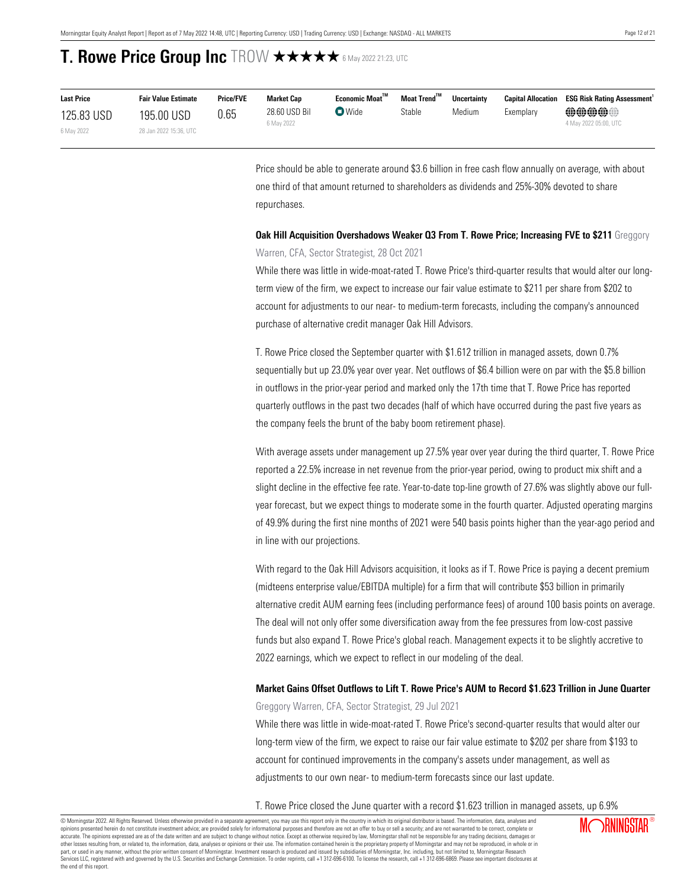| <b>Last Price</b> | <b>Fair Value Estimate</b> | <b>Price/FVE</b> | Market Cap                  | Economic Moat <sup>™</sup> | Moat Trend™ | <b>Uncertainty</b> | <b>Capital Allocation</b> | <b>ESG Risk Rating Assessment</b>                   |
|-------------------|----------------------------|------------------|-----------------------------|----------------------------|-------------|--------------------|---------------------------|-----------------------------------------------------|
| 125.83 USD        | 195.00 USD                 | 0.65             | 28.60 USD Bil<br>6 May 2022 | $\bullet$ Wide             | Stable      | Medium             | Exemplary                 | $\oplus\oplus\oplus\oplus$<br>4 May 2022 05:00, UTC |
| 6 May 2022        | 28 Jan 2022 15:36, UTC     |                  |                             |                            |             |                    |                           |                                                     |

Price should be able to generate around \$3.6 billion in free cash flow annually on average, with about one third of that amount returned to shareholders as dividends and 25%-30% devoted to share repurchases.

## **Oak Hill Acquisition Overshadows Weaker Q3 From T. Rowe Price; Increasing FVE to \$211** Greggory Warren, CFA, Sector Strategist, 28 Oct 2021

While there was little in wide-moat-rated T. Rowe Price's third-quarter results that would alter our longterm view of the firm, we expect to increase our fair value estimate to \$211 per share from \$202 to account for adjustments to our near- to medium-term forecasts, including the company's announced purchase of alternative credit manager Oak Hill Advisors.

T. Rowe Price closed the September quarter with \$1.612 trillion in managed assets, down 0.7% sequentially but up 23.0% year over year. Net outflows of \$6.4 billion were on par with the \$5.8 billion in outflows in the prior-year period and marked only the 17th time that T. Rowe Price has reported quarterly outflows in the past two decades (half of which have occurred during the past five years as the company feels the brunt of the baby boom retirement phase).

With average assets under management up 27.5% year over year during the third quarter, T. Rowe Price reported a 22.5% increase in net revenue from the prior-year period, owing to product mix shift and a slight decline in the effective fee rate. Year-to-date top-line growth of 27.6% was slightly above our fullyear forecast, but we expect things to moderate some in the fourth quarter. Adjusted operating margins of 49.9% during the first nine months of 2021 were 540 basis points higher than the year-ago period and in line with our projections.

With regard to the Oak Hill Advisors acquisition, it looks as if T. Rowe Price is paying a decent premium (midteens enterprise value/EBITDA multiple) for a firm that will contribute \$53 billion in primarily alternative credit AUM earning fees (including performance fees) of around 100 basis points on average. The deal will not only offer some diversification away from the fee pressures from low-cost passive funds but also expand T. Rowe Price's global reach. Management expects it to be slightly accretive to 2022 earnings, which we expect to reflect in our modeling of the deal.

## **Market Gains Offset Outflows to Lift T. Rowe Price's AUM to Record \$1.623 Trillion in June Quarter**

Greggory Warren, CFA, Sector Strategist, 29 Jul 2021

While there was little in wide-moat-rated T. Rowe Price's second-quarter results that would alter our long-term view of the firm, we expect to raise our fair value estimate to \$202 per share from \$193 to account for continued improvements in the company's assets under management, as well as adjustments to our own near- to medium-term forecasts since our last update.

T. Rowe Price closed the June quarter with a record \$1.623 trillion in managed assets, up 6.9%

© Morningstar 2022. All Rights Reserved. Unless otherwise provided in a separate agreement, you may use this report only in the country in which its original distributor is based. The information, data, analyses and opinions presented herein do not constitute investment advice; are provided solely for informational purposes and therefore are not an offer to buy or sell a security; and are not warranted to be correct, complete or accurate. The opinions expressed are as of the date written and are subject to change without notice. Except as otherwise required by law, Morningstar shall not be responsible for any trading decisions, damages or<br>other lo part, or used in any manner, without the prior written consent of Morningstar. Investment research is produced and issued by subsidiaries of Morningstar, Inc. including, but not limited to, Morningstar Research<br>Services LL the end of this report.

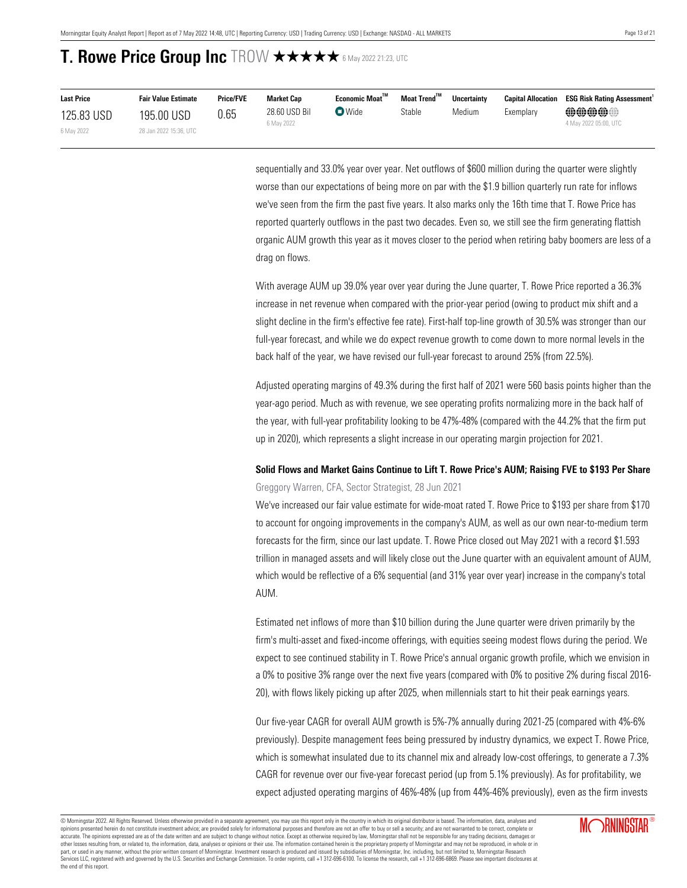| <b>Last Price</b> | <b>Fair Value Estimate</b> | <b>Price/FVE</b> | Market Cap    | Economic Moat™ | Moat Trend™ | <b>Uncertainty</b> | <b>Capital Allocation</b> | <b>ESG Risk Rating Assessment</b> |
|-------------------|----------------------------|------------------|---------------|----------------|-------------|--------------------|---------------------------|-----------------------------------|
| 125.83 USD        | 195.00 USD                 | 0.65             | 28.60 USD Bil | $\bullet$ Wide | Stable      | Medium             | Exemplarv                 | $\oplus\oplus\oplus\oplus$        |
| 6 May 2022        | 28 Jan 2022 15:36, UTC     |                  | 6 May 2022    |                |             |                    |                           | 4 May 2022 05:00, UTC             |

sequentially and 33.0% year over year. Net outflows of \$600 million during the quarter were slightly worse than our expectations of being more on par with the \$1.9 billion quarterly run rate for inflows we've seen from the firm the past five years. It also marks only the 16th time that T. Rowe Price has reported quarterly outflows in the past two decades. Even so, we still see the firm generating flattish organic AUM growth this year as it moves closer to the period when retiring baby boomers are less of a drag on flows.

With average AUM up 39.0% year over year during the June quarter, T. Rowe Price reported a 36.3% increase in net revenue when compared with the prior-year period (owing to product mix shift and a slight decline in the firm's effective fee rate). First-half top-line growth of 30.5% was stronger than our full-year forecast, and while we do expect revenue growth to come down to more normal levels in the back half of the year, we have revised our full-year forecast to around 25% (from 22.5%).

Adjusted operating margins of 49.3% during the first half of 2021 were 560 basis points higher than the year-ago period. Much as with revenue, we see operating profits normalizing more in the back half of the year, with full-year profitability looking to be 47%-48% (compared with the 44.2% that the firm put up in 2020), which represents a slight increase in our operating margin projection for 2021.

## **Solid Flows and Market Gains Continue to Lift T. Rowe Price's AUM; Raising FVE to \$193 Per Share** Greggory Warren, CFA, Sector Strategist, 28 Jun 2021

We've increased our fair value estimate for wide-moat rated T. Rowe Price to \$193 per share from \$170 to account for ongoing improvements in the company's AUM, as well as our own near-to-medium term forecasts for the firm, since our last update. T. Rowe Price closed out May 2021 with a record \$1.593 trillion in managed assets and will likely close out the June quarter with an equivalent amount of AUM, which would be reflective of a 6% sequential (and 31% year over year) increase in the company's total AUM.

Estimated net inflows of more than \$10 billion during the June quarter were driven primarily by the firm's multi-asset and fixed-income offerings, with equities seeing modest flows during the period. We expect to see continued stability in T. Rowe Price's annual organic growth profile, which we envision in a 0% to positive 3% range over the next five years (compared with 0% to positive 2% during fiscal 2016- 20), with flows likely picking up after 2025, when millennials start to hit their peak earnings years.

Our five-year CAGR for overall AUM growth is 5%-7% annually during 2021-25 (compared with 4%-6% previously). Despite management fees being pressured by industry dynamics, we expect T. Rowe Price, which is somewhat insulated due to its channel mix and already low-cost offerings, to generate a 7.3% CAGR for revenue over our five-year forecast period (up from 5.1% previously). As for profitability, we expect adjusted operating margins of 46%-48% (up from 44%-46% previously), even as the firm invests

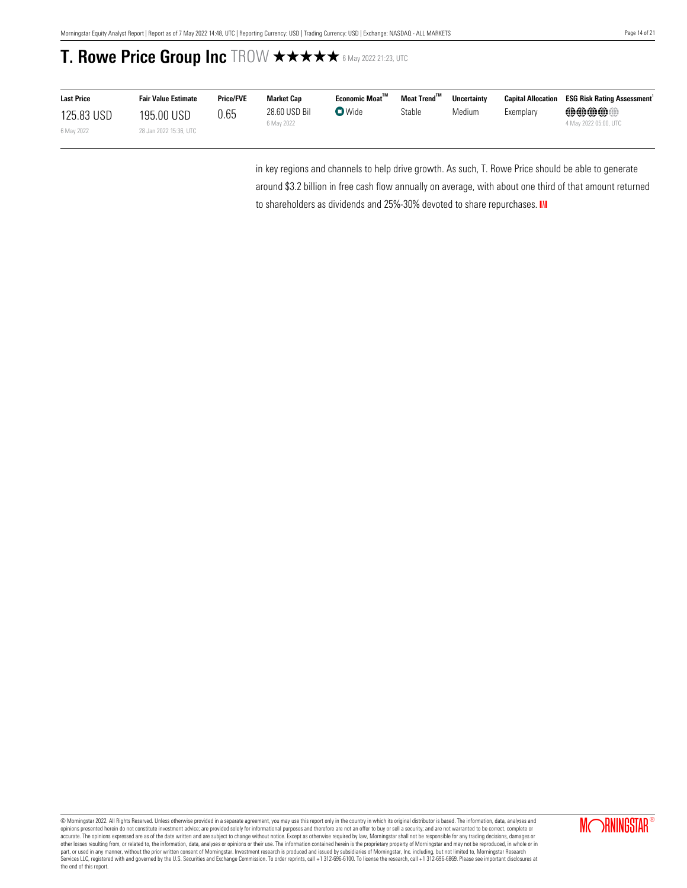| <b>Last Price</b> | <b>Fair Value Estimate</b> | <b>Price/FVE</b> | Market Cap                  | <b>Economic Moat"</b>                    | Moat Trend <sup>™</sup> | <b>Uncertainty</b> | <b>Capital Allocation</b> | <b>ESG Risk Rating Assessment</b>     |
|-------------------|----------------------------|------------------|-----------------------------|------------------------------------------|-------------------------|--------------------|---------------------------|---------------------------------------|
| 125.83 USD        | 195.00 USD                 | 0.65             | 28.60 USD Bil<br>6 May 2022 | $\mathbf{\mathbf{\mathsf{\Omega}}}$ Wide | Stable                  | Medium             | Exemplary                 | <b>@@@@@</b><br>4 May 2022 05:00, UTC |
| 6 May 2022        | 28 Jan 2022 15:36, UTC     |                  |                             |                                          |                         |                    |                           |                                       |

in key regions and channels to help drive growth. As such, T. Rowe Price should be able to generate around \$3.2 billion in free cash flow annually on average, with about one third of that amount returned to shareholders as dividends and 25%-30% devoted to share repurchases. III

© Morningstar 2022. All Rights Reserved. Unless otherwise provided in a separate agreement, you may use this report only in the country in which its original distributor is based. The information, data, analyses and<br>opinio accurate. The opinions expressed are as of the date written and are subject to change without notice. Except as otherwise required by law, Morningstar shall not be responsible for any trading decisions, damages or<br>other lo part, or used in any manner, without the prior written consent of Morningstar. Investment research is produced and issued by subsidiaries of Morningstar, Inc. including, but not limited to, Morningstar Research<br>Services LL the end of this report.

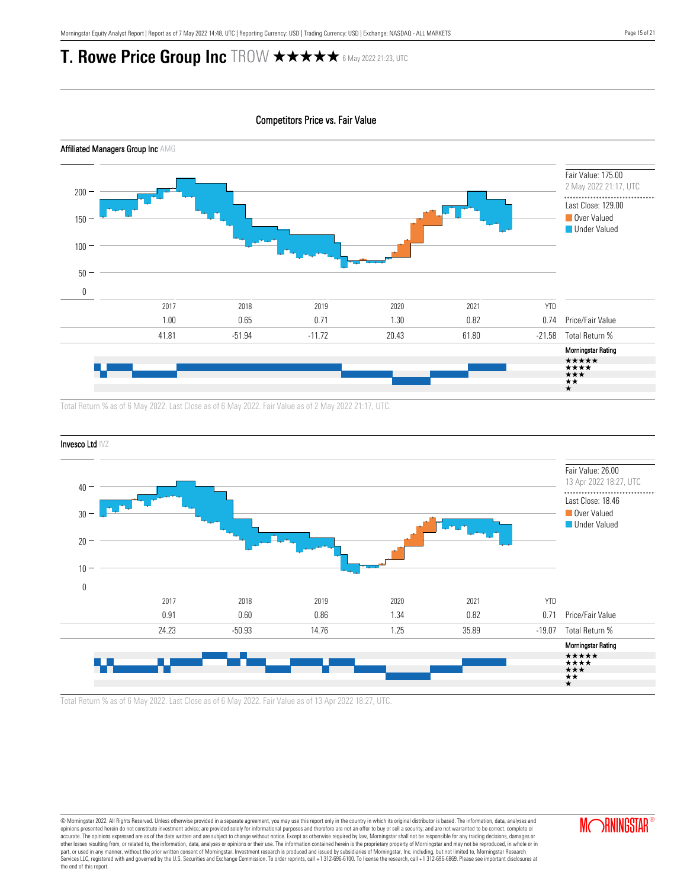Competitors Price vs. Fair Value



Total Return % as of 6 May 2022. Last Close as of 6 May 2022. Fair Value as of 2 May 2022 21:17, UTC.



Total Return % as of 6 May 2022. Last Close as of 6 May 2022. Fair Value as of 13 Apr 2022 18:27, UTC.

© Morningstar 2022. All Rights Reserved. Unless otherwise provided in a separate agreement, you may use this report only in the country in which its original distributor is based. The information, data, analyses and opinions presented herein do not constitute investment advice; are provided solely for informational purposes and therefore are not an offer to buy or sell a security; and are not warranted to be correct, complete or accurate. The opinions expressed are as of the date written and are subject to change without notice. Except as otherwise required by law, Morningstar shall not be responsible for any trading decisions, damages or<br>other lo part, or used in any manner, without the prior written consent of Morningstar. Investment research is produced and issued by subsidiaries of Morningstar, Inc. including, but not limited to, Morningstar Research<br>Services LL the end of this report.

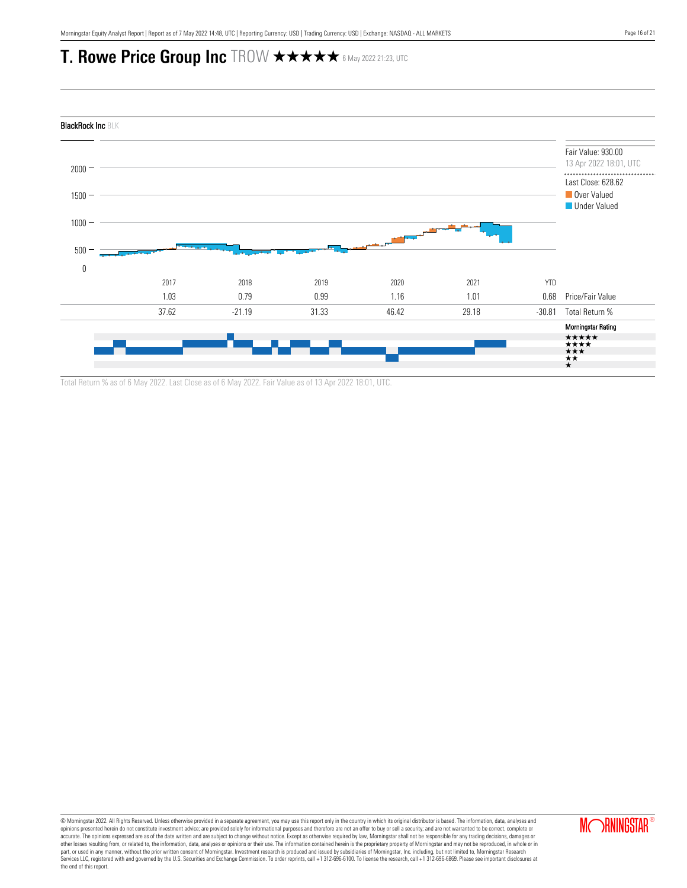

Total Return % as of 6 May 2022. Last Close as of 6 May 2022. Fair Value as of 13 Apr 2022 18:01, UTC.

© Morningstar 2022. All Rights Reserved. Unless otherwise provided in a separate agreement, you may use this report only in the country in which its original distributor is based. The information, data, analyses and<br>opinio accurate. The opinions expressed are as of the date written and are subject to change without notice. Except as otherwise required by law, Morningstar shall not be responsible for any trading decisions, damages or<br>other lo part, or used in any manner, without the prior written consent of Morningstar. Investment research is produced and issued by subsidiaries of Morningstar, Inc. including, but not limited to, Morningstar Research<br>Services LL the end of this report.

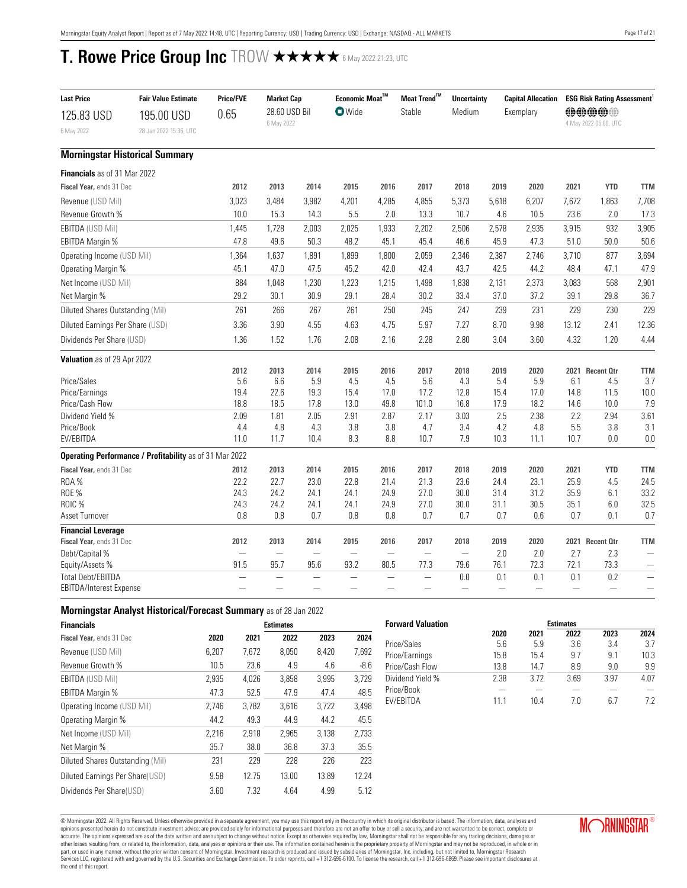<span id="page-16-0"></span>

| <b>Last Price</b>                 | <b>Fair Value Estimate</b>                              | <b>Price/FVE</b>         | <b>Market Cap</b>           |                          | Economic Moat $^{\text{TM}}$ |                          | Moat Trend™   | <b>Uncertainty</b> |                          | <b>Capital Allocation</b> |             | <b>ESG Risk Rating Assessment</b> |                          |
|-----------------------------------|---------------------------------------------------------|--------------------------|-----------------------------|--------------------------|------------------------------|--------------------------|---------------|--------------------|--------------------------|---------------------------|-------------|-----------------------------------|--------------------------|
| 125.83 USD<br>6 May 2022          | 195.00 USD<br>28 Jan 2022 15:36, UTC                    | 0.65                     | 28.60 USD Bil<br>6 May 2022 |                          | <b>O</b> Wide                |                          | Stable        | Medium             |                          | Exemplary                 |             | 00000<br>4 May 2022 05:00, UTC    |                          |
|                                   | <b>Morningstar Historical Summary</b>                   |                          |                             |                          |                              |                          |               |                    |                          |                           |             |                                   |                          |
| Financials as of 31 Mar 2022      |                                                         |                          |                             |                          |                              |                          |               |                    |                          |                           |             |                                   |                          |
| Fiscal Year, ends 31 Dec          |                                                         | 2012                     | 2013                        | 2014                     | 2015                         | 2016                     | 2017          | 2018               | 2019                     | 2020                      | 2021        | <b>YTD</b>                        | <b>TTM</b>               |
| Revenue (USD Mil)                 |                                                         | 3,023                    | 3,484                       | 3,982                    | 4,201                        | 4,285                    | 4,855         | 5,373              | 5,618                    | 6,207                     | 7,672       | 1,863                             | 7,708                    |
| Revenue Growth %                  |                                                         | 10.0                     | 15.3                        | 14.3                     | 5.5                          | 2.0                      | 13.3          | 10.7               | 4.6                      | 10.5                      | 23.6        | 2.0                               | 17.3                     |
| <b>EBITDA (USD Mil)</b>           |                                                         | 1,445                    | 1,728                       | 2,003                    | 2,025                        | 1,933                    | 2,202         | 2,506              | 2,578                    | 2,935                     | 3,915       | 932                               | 3,905                    |
| EBITDA Margin %                   |                                                         | 47.8                     | 49.6                        | 50.3                     | 48.2                         | 45.1                     | 45.4          | 46.6               | 45.9                     | 47.3                      | 51.0        | 50.0                              | 50.6                     |
| Operating Income (USD Mil)        |                                                         | 1,364                    | 1,637                       | 1,891                    | 1,899                        | 1,800                    | 2,059         | 2,346              | 2,387                    | 2,746                     | 3,710       | 877                               | 3,694                    |
| Operating Margin %                |                                                         | 45.1                     | 47.0                        | 47.5                     | 45.2                         | 42.0                     | 42.4          | 43.7               | 42.5                     | 44.2                      | 48.4        | 47.1                              | 47.9                     |
| Net Income (USD Mil)              |                                                         | 884                      | 1,048                       | 1,230                    | 1,223                        | 1,215                    | 1,498         | 1,838              | 2,131                    | 2,373                     | 3,083       | 568                               | 2,901                    |
| Net Margin %                      |                                                         | 29.2                     | 30.1                        | 30.9                     | 29.1                         | 28.4                     | 30.2          | 33.4               | 37.0                     | 37.2                      | 39.1        | 29.8                              | 36.7                     |
| Diluted Shares Outstanding (Mil)  |                                                         | 261                      | 266                         | 267                      | 261                          | 250                      | 245           | 247                | 239                      | 231                       | 229         | 230                               | 229                      |
| Diluted Earnings Per Share (USD)  |                                                         | 3.36                     | 3.90                        | 4.55                     | 4.63                         | 4.75                     | 5.97          | 7.27               | 8.70                     | 9.98                      | 13.12       | 2.41                              | 12.36                    |
| Dividends Per Share (USD)         |                                                         | 1.36                     | 1.52                        | 1.76                     | 2.08                         | 2.16                     | 2.28          | 2.80               | 3.04                     | 3.60                      | 4.32        | 1.20                              | 4.44                     |
| Valuation as of 29 Apr 2022       |                                                         |                          |                             |                          |                              |                          |               |                    |                          |                           |             |                                   |                          |
|                                   |                                                         | 2012                     | 2013                        | 2014                     | 2015                         | 2016                     | 2017          | 2018               | 2019                     | 2020                      |             | 2021 Recent Otr                   | <b>TTM</b>               |
| Price/Sales                       |                                                         | 5.6                      | 6.6                         | 5.9                      | 4.5                          | 4.5                      | 5.6           | 4.3                | 5.4                      | 5.9                       | 6.1         | 4.5                               | 3.7                      |
| Price/Earnings<br>Price/Cash Flow |                                                         | 19.4<br>18.8             | 22.6<br>18.5                | 19.3<br>17.8             | 15.4<br>13.0                 | 17.0<br>49.8             | 17.2<br>101.0 | 12.8<br>16.8       | 15.4<br>17.9             | 17.0<br>18.2              | 14.8        | 11.5<br>10.0                      | 10.0                     |
| Dividend Yield %                  |                                                         | 2.09                     | 1.81                        | 2.05                     | 2.91                         | 2.87                     | 2.17          | 3.03               | 2.5                      | 2.38                      | 14.6<br>2.2 | 2.94                              | 7.9<br>3.61              |
| Price/Book                        |                                                         | 4.4                      | 4.8                         | 4.3                      | 3.8                          | 3.8                      | 4.7           | 3.4                | 4.2                      | 4.8                       | 5.5         | 3.8                               | 3.1                      |
| EV/EBITDA                         |                                                         | 11.0                     | 11.7                        | 10.4                     | 8.3                          | 8.8                      | 10.7          | 7.9                | 10.3                     | 11.1                      | 10.7        | 0.0                               | 0.0                      |
|                                   | Operating Performance / Profitability as of 31 Mar 2022 |                          |                             |                          |                              |                          |               |                    |                          |                           |             |                                   |                          |
| Fiscal Year, ends 31 Dec          |                                                         | 2012                     | 2013                        | 2014                     | 2015                         | 2016                     | 2017          | 2018               | 2019                     | 2020                      | 2021        | <b>YTD</b>                        | <b>TTM</b>               |
| <b>ROA%</b>                       |                                                         | 22.2                     | 22.7                        | 23.0                     | 22.8                         | 21.4                     | 21.3          | 23.6               | 24.4                     | 23.1                      | 25.9        | 4.5                               | 24.5                     |
| <b>ROE %</b>                      |                                                         | 24.3                     | 24.2                        | 24.1                     | 24.1                         | 24.9                     | 27.0          | 30.0               | 31.4                     | 31.2                      | 35.9        | 6.1                               | 33.2                     |
| ROIC %                            |                                                         | 24.3                     | 24.2                        | 24.1                     | 24.1                         | 24.9                     | 27.0          | 30.0               | 31.1                     | 30.5                      | 35.1        | 6.0                               | 32.5                     |
| Asset Turnover                    |                                                         | 0.8                      | 0.8                         | 0.7                      | 0.8                          | 0.8                      | 0.7           | 0.7                | 0.7                      | 0.6                       | 0.7         | 0.1                               | 0.7                      |
| <b>Financial Leverage</b>         |                                                         |                          |                             |                          |                              |                          |               |                    |                          |                           |             |                                   |                          |
| Fiscal Year, ends 31 Dec          |                                                         | 2012                     | 2013                        | 2014                     | 2015                         | 2016                     | 2017          | 2018               | 2019                     | 2020                      |             | 2021 Recent Otr                   | <b>TTM</b>               |
| Debt/Capital %                    |                                                         | $\overline{\phantom{0}}$ |                             | $\overline{\phantom{0}}$ |                              | $\overline{\phantom{0}}$ |               |                    | 2.0                      | 2.0                       | 2.7         | 2.3                               |                          |
| Equity/Assets %                   |                                                         | 91.5                     | 95.7                        | 95.6                     | 93.2                         | 80.5                     | 77.3          | 79.6               | 76.1                     | 72.3                      | 72.1        | 73.3                              | $\overline{\phantom{0}}$ |
| <b>Total Debt/EBITDA</b>          |                                                         |                          |                             |                          |                              |                          |               | 0.0                | 0.1                      | 0.1                       | 0.1         | 0.2                               | $\overline{\phantom{m}}$ |
| EBITDA/Interest Expense           |                                                         |                          |                             |                          |                              |                          |               |                    | $\overline{\phantom{0}}$ |                           |             |                                   | $\overline{\phantom{0}}$ |

## **Morningstar Analyst Historical/Forecast Summary** as of 28 Jan 2022

| <b>Financials</b>                |       |       | <b>Estimates</b> |       |        |
|----------------------------------|-------|-------|------------------|-------|--------|
| Fiscal Year, ends 31 Dec         | 2020  | 2021  | 2022             | 2023  | 2024   |
| Revenue (USD Mil)                | 6.207 | 7.672 | 8.050            | 8.420 | 7,692  |
| Revenue Growth %                 | 10.5  | 23.6  | 4.9              | 4.6   | $-8.6$ |
| <b>EBITDA (USD Mil)</b>          | 2,935 | 4,026 | 3,858            | 3,995 | 3,729  |
| EBITDA Margin %                  | 47.3  | 52.5  | 47.9             | 47.4  | 48.5   |
| Operating Income (USD Mil)       | 2.746 | 3.782 | 3.616            | 3.722 | 3.498  |
| Operating Margin %               | 44.2  | 49.3  | 44.9             | 44.2  | 45.5   |
| Net Income (USD Mil)             | 2.216 | 2.918 | 2.965            | 3.138 | 2.733  |
| Net Margin %                     | 35.7  | 38.0  | 36.8             | 37.3  | 35.5   |
| Diluted Shares Outstanding (Mil) | 231   | 229   | 228              | 226   | 223    |
| Diluted Earnings Per Share(USD)  | 9.58  | 12.75 | 13.00            | 13.89 | 12.24  |
| Dividends Per Share(USD)         | 3.60  | 7.32  | 4.64             | 4.99  | 5.12   |

| <b>Forward Valuation</b> | <b>Estimates</b> |      |      |      |      |  |
|--------------------------|------------------|------|------|------|------|--|
|                          | 2020             | 2021 | 2022 | 2023 | 2024 |  |
| Price/Sales              | 5.6              | 5.9  | 3.6  | 3.4  | 3.7  |  |
| Price/Earnings           | 15.8             | 15.4 | 9.7  | 9.1  | 10.3 |  |
| Price/Cash Flow          | 13.8             | 14.7 | 8.9  | 9.0  | 9.9  |  |
| Dividend Yield %         | 2.38             | 3.72 | 3.69 | 3.97 | 4.07 |  |
| Price/Book               |                  |      |      |      |      |  |
| <b>FV/FBITDA</b>         | 11 1             | 10 4 | 7 N  | հ 7  | 72   |  |

© Morningstar 2022. All Rights Reserved. Unless otherwise provided in a separate agreement, you may use this report only in the country in which its original distributor is based. The information, data, analyses and<br>opinio accurate. The opinions expressed are as of the date written and are subject to change without notice. Except as otherwise required by law, Morningstar shall not be responsible for any trading decisions, damages or<br>other lo the end of this report.

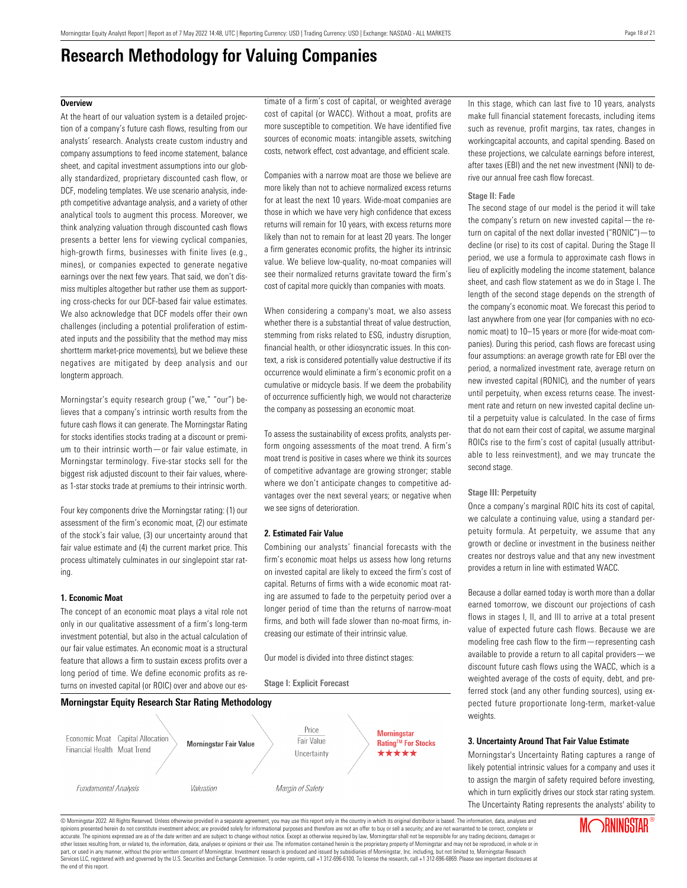## **Research Methodology for Valuing Companies**

### <span id="page-17-0"></span>**Overview**

At the heart of our valuation system is a detailed projection of a company's future cash flows, resulting from our analysts' research. Analysts create custom industry and company assumptions to feed income statement, balance sheet, and capital investment assumptions into our globally standardized, proprietary discounted cash flow, or DCF, modeling templates. We use scenario analysis, indepth competitive advantage analysis, and a variety of other analytical tools to augment this process. Moreover, we think analyzing valuation through discounted cash flows presents a better lens for viewing cyclical companies, high-growth firms, businesses with finite lives (e.g., mines), or companies expected to generate negative earnings over the next few years. That said, we don't dismiss multiples altogether but rather use them as supporting cross-checks for our DCF-based fair value estimates. We also acknowledge that DCF models offer their own challenges (including a potential proliferation of estimated inputs and the possibility that the method may miss shortterm market-price movements), but we believe these negatives are mitigated by deep analysis and our longterm approach.

Morningstar's equity research group ("we," "our") believes that a company's intrinsic worth results from the future cash flows it can generate. The Morningstar Rating for stocks identifies stocks trading at a discount or premium to their intrinsic worth—or fair value estimate, in Morningstar terminology. Five-star stocks sell for the biggest risk adjusted discount to their fair values, whereas 1-star stocks trade at premiums to their intrinsic worth.

Four key components drive the Morningstar rating: (1) our assessment of the firm's economic moat, (2) our estimate of the stock's fair value, (3) our uncertainty around that fair value estimate and (4) the current market price. This process ultimately culminates in our singlepoint star rating.

### **1. Economic Moat**

The concept of an economic moat plays a vital role not only in our qualitative assessment of a firm's long-term investment potential, but also in the actual calculation of our fair value estimates. An economic moat is a structural feature that allows a firm to sustain excess profits over a long period of time. We define economic profits as returns on invested capital (or ROIC) over and above our estimate of a firm's cost of capital, or weighted average cost of capital (or WACC). Without a moat, profits are more susceptible to competition. We have identified five sources of economic moats: intangible assets, switching costs, network effect, cost advantage, and efficient scale.

Companies with a narrow moat are those we believe are more likely than not to achieve normalized excess returns for at least the next 10 years. Wide-moat companies are those in which we have very high confidence that excess returns will remain for 10 years, with excess returns more likely than not to remain for at least 20 years. The longer a firm generates economic profits, the higher its intrinsic value. We believe low-quality, no-moat companies will see their normalized returns gravitate toward the firm's cost of capital more quickly than companies with moats.

When considering a company's moat, we also assess whether there is a substantial threat of value destruction, stemming from risks related to ESG, industry disruption, financial health, or other idiosyncratic issues. In this context, a risk is considered potentially value destructive if its occurrence would eliminate a firm's economic profit on a cumulative or midcycle basis. If we deem the probability of occurrence sufficiently high, we would not characterize the company as possessing an economic moat.

To assess the sustainability of excess profits, analysts perform ongoing assessments of the moat trend. A firm's moat trend is positive in cases where we think its sources of competitive advantage are growing stronger; stable where we don't anticipate changes to competitive advantages over the next several years; or negative when we see signs of deterioration.

### **2. Estimated Fair Value**

**Stage I: Explicit Forecast**

Combining our analysts' financial forecasts with the firm's economic moat helps us assess how long returns on invested capital are likely to exceed the firm's cost of capital. Returns of firms with a wide economic moat rating are assumed to fade to the perpetuity period over a longer period of time than the returns of narrow-moat firms, and both will fade slower than no-moat firms, increasing our estimate of their intrinsic value.

Our model is divided into three distinct stages:



In this stage, which can last five to 10 years, analysts make full financial statement forecasts, including items such as revenue, profit margins, tax rates, changes in workingcapital accounts, and capital spending. Based on these projections, we calculate earnings before interest, after taxes (EBI) and the net new investment (NNI) to derive our annual free cash flow forecast.

### **Stage II: Fade**

The second stage of our model is the period it will take the company's return on new invested capital—the return on capital of the next dollar invested ("RONIC")—to decline (or rise) to its cost of capital. During the Stage II period, we use a formula to approximate cash flows in lieu of explicitly modeling the income statement, balance sheet, and cash flow statement as we do in Stage I. The length of the second stage depends on the strength of the company's economic moat. We forecast this period to last anywhere from one year (for companies with no economic moat) to 10–15 years or more (for wide-moat companies). During this period, cash flows are forecast using four assumptions: an average growth rate for EBI over the period, a normalized investment rate, average return on new invested capital (RONIC), and the number of years until perpetuity, when excess returns cease. The investment rate and return on new invested capital decline until a perpetuity value is calculated. In the case of firms that do not earn their cost of capital, we assume marginal ROICs rise to the firm's cost of capital (usually attributable to less reinvestment), and we may truncate the second stage.

### **Stage III: Perpetuity**

Once a company's marginal ROIC hits its cost of capital, we calculate a continuing value, using a standard perpetuity formula. At perpetuity, we assume that any growth or decline or investment in the business neither creates nor destroys value and that any new investment provides a return in line with estimated WACC.

Because a dollar earned today is worth more than a dollar earned tomorrow, we discount our projections of cash flows in stages I, II, and III to arrive at a total present value of expected future cash flows. Because we are modeling free cash flow to the firm—representing cash available to provide a return to all capital providers—we discount future cash flows using the WACC, which is a weighted average of the costs of equity, debt, and preferred stock (and any other funding sources), using expected future proportionate long-term, market-value weights.

### **3. Uncertainty Around That Fair Value Estimate**

Morningstar's Uncertainty Rating captures a range of likely potential intrinsic values for a company and uses it to assign the margin of safety required before investing, which in turn explicitly drives our stock star rating system. The Uncertainty Rating represents the analysts' ability to

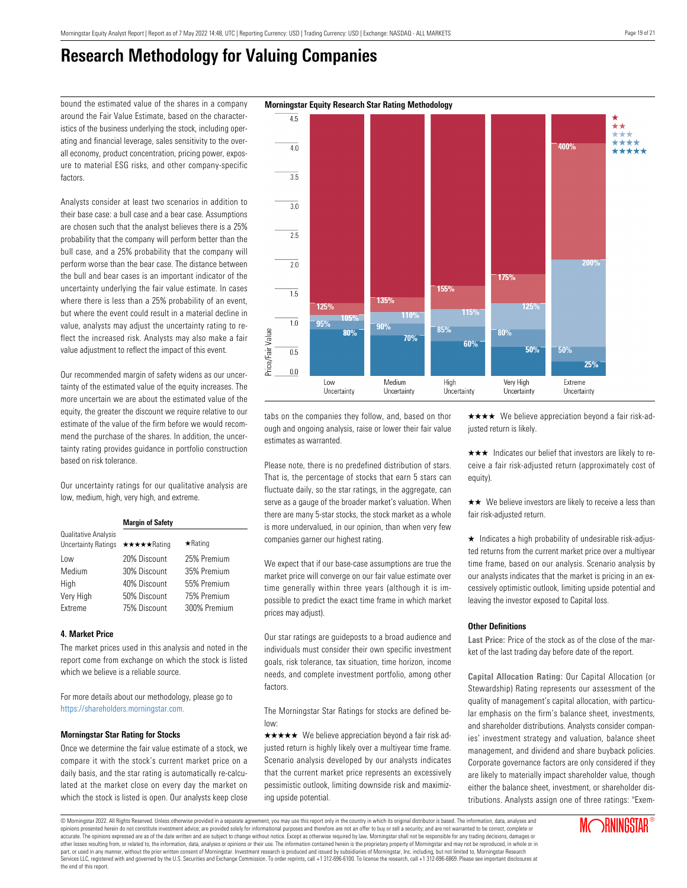$4.5$ 

 $\overline{40}$ 

 $\overline{35}$ 

 $3.0$ 

 $\overline{2.5}$ 

 $\overline{2.0}$ 

 $\overline{1.5}$ 

 $1.0$ 

 $\overline{0.5}$ 

 $0.0$ 

Price/Fair Value

## **Research Methodology for Valuing Companies**

around the Fair Value Estimate, based on the characteristics of the business underlying the stock, including operating and financial leverage, sales sensitivity to the overall economy, product concentration, pricing power, exposure to material ESG risks, and other company-specific factors.

Analysts consider at least two scenarios in addition to their base case: a bull case and a bear case. Assumptions are chosen such that the analyst believes there is a 25% probability that the company will perform better than the bull case, and a 25% probability that the company will perform worse than the bear case. The distance between the bull and bear cases is an important indicator of the uncertainty underlying the fair value estimate. In cases where there is less than a 25% probability of an event, but where the event could result in a material decline in value, analysts may adjust the uncertainty rating to reflect the increased risk. Analysts may also make a fair value adjustment to reflect the impact of this event.

Our recommended margin of safety widens as our uncertainty of the estimated value of the equity increases. The more uncertain we are about the estimated value of the equity, the greater the discount we require relative to our estimate of the value of the firm before we would recommend the purchase of the shares. In addition, the uncertainty rating provides guidance in portfolio construction based on risk tolerance.

Our uncertainty ratings for our qualitative analysis are low, medium, high, very high, and extreme.

|                                                    | <b>Margin of Safety</b> |                |  |  |  |  |
|----------------------------------------------------|-------------------------|----------------|--|--|--|--|
| Qualitative Analysis<br><b>Uncertainty Ratings</b> | ★★★★★Rating             | $\star$ Rating |  |  |  |  |
| Low                                                | 20% Discount            | 25% Premium    |  |  |  |  |
| Medium                                             | 30% Discount            | 35% Premium    |  |  |  |  |
| High                                               | 40% Discount            | 55% Premium    |  |  |  |  |
| Very High                                          | 50% Discount            | 75% Premium    |  |  |  |  |
| Extreme                                            | 75% Discount            | 300% Premium   |  |  |  |  |

### **4. Market Price**

The market prices used in this analysis and noted in the report come from exchange on which the stock is listed which we believe is a reliable source.

For more details about our methodology, please go to <https://shareholders.morningstar.com.>

### **Morningstar Star Rating for Stocks**

Once we determine the fair value estimate of a stock, we compare it with the stock's current market price on a daily basis, and the star rating is automatically re-calculated at the market close on every day the market on which the stock is listed is open. Our analysts keep close

tabs on the companies they follow, and, based on thor ough and ongoing analysis, raise or lower their fair value estimates as warranted.

Medium

Uncertainty

High

Uncertainty

Low

Uncertainty

Please note, there is no predefined distribution of stars. That is, the percentage of stocks that earn 5 stars can fluctuate daily, so the star ratings, in the aggregate, can serve as a gauge of the broader market's valuation. When there are many 5-star stocks, the stock market as a whole is more undervalued, in our opinion, than when very few companies garner our highest rating.

We expect that if our base-case assumptions are true the market price will converge on our fair value estimate over time generally within three years (although it is impossible to predict the exact time frame in which market prices may adjust).

Our star ratings are guideposts to a broad audience and individuals must consider their own specific investment goals, risk tolerance, tax situation, time horizon, income needs, and complete investment portfolio, among other factors.

The Morningstar Star Ratings for stocks are defined below:

 $\star \star \star \star$  We believe appreciation beyond a fair risk adjusted return is highly likely over a multiyear time frame. Scenario analysis developed by our analysts indicates that the current market price represents an excessively pessimistic outlook, limiting downside risk and maximizing upside potential.

 $\star \star \star \star$  We believe appreciation beyond a fair risk-adjusted return is likely.

Extreme

Uncertainty

 $\star \star \star$  Indicates our belief that investors are likely to receive a fair risk-adjusted return (approximately cost of equity).

 $\star\star$  We believe investors are likely to receive a less than fair risk-adjusted return.

 $\star$  Indicates a high probability of undesirable risk-adjusted returns from the current market price over a multiyear time frame, based on our analysis. Scenario analysis by our analysts indicates that the market is pricing in an excessively optimistic outlook, limiting upside potential and leaving the investor exposed to Capital loss.

### **Other Definitions**

**Last Price:** Price of the stock as of the close of the market of the last trading day before date of the report.

**Capital Allocation Rating:** Our Capital Allocation (or Stewardship) Rating represents our assessment of the quality of management's capital allocation, with particular emphasis on the firm's balance sheet, investments, and shareholder distributions. Analysts consider companies' investment strategy and valuation, balance sheet management, and dividend and share buyback policies. Corporate governance factors are only considered if they are likely to materially impact shareholder value, though either the balance sheet, investment, or shareholder distributions. Analysts assign one of three ratings: "Exem-

**MORNINGSTAR®** 

## bound the estimated value of the shares in a company **Morningstar Equity Research Star Rating Methodology**

© Morningstar 2022. All Rights Reserved. Unless otherwise provided in a separate agreement, you may use this report only in the country in which its original distributor is based. The information, data, analyses and opinions presented herein do not constitute investment advice; are provided solely for informational purposes and therefore are not an offer to buy or sell a security; and are not warranted to be correct, complete or accurate. The opinions expressed are as of the date written and are subject to change without notice. Except as otherwise required by law, Morningstar shall not be responsible for any trading decisions, damages or other losses resulting from, or related to, the information, data, analyses or opinions or their use. The information contained herein is the proprietary property of Morningstar and may not be reproduced, in whole or in part, or used in any manner, without the prior written consent of Morningstar. Investment research is produced and issued by subsidiaries of Morningstar, Inc. including, but not limited to, Morningstar Research puryor calor many manual and governed by the U.S. Securities and Exchange Commission. To order reprints, call +1 312-696-6100. To license the research, call +1 312-696-6869. Please see important disclosures at the commissi the end of this report.



Very High

Uncertainty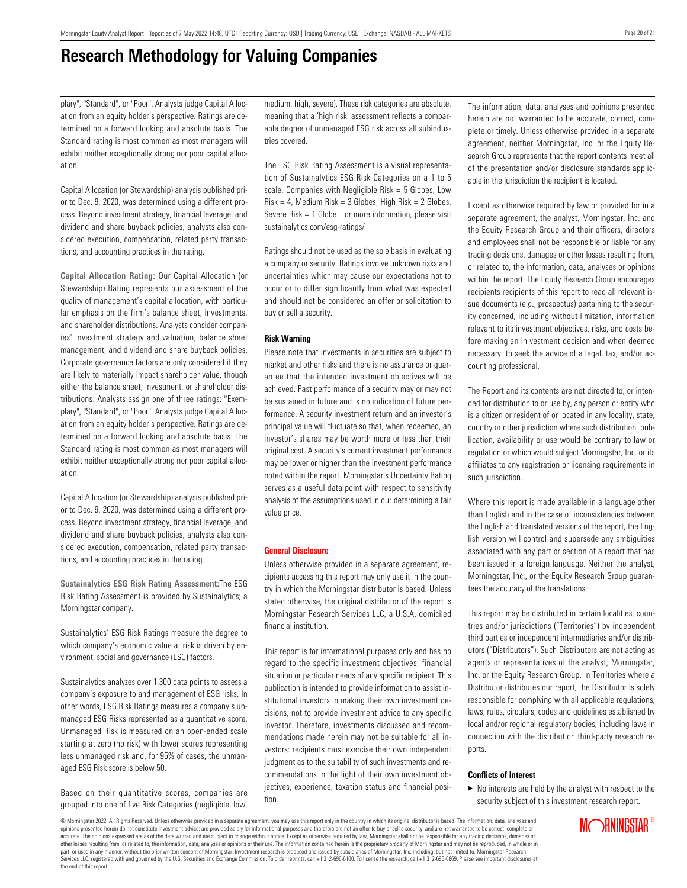# **Research Methodology for Valuing Companies**

plary", "Standard", or "Poor". Analysts judge Capital Allocation from an equity holder's perspective. Ratings are determined on a forward looking and absolute basis. The Standard rating is most common as most managers will exhibit neither exceptionally strong nor poor capital allocation.

Capital Allocation (or Stewardship) analysis published prior to Dec. 9, 2020, was determined using a different process. Beyond investment strategy, financial leverage, and dividend and share buyback policies, analysts also considered execution, compensation, related party transactions, and accounting practices in the rating.

**Capital Allocation Rating:** Our Capital Allocation (or Stewardship) Rating represents our assessment of the quality of management's capital allocation, with particular emphasis on the firm's balance sheet, investments, and shareholder distributions. Analysts consider companies' investment strategy and valuation, balance sheet management, and dividend and share buyback policies. Corporate governance factors are only considered if they are likely to materially impact shareholder value, though either the balance sheet, investment, or shareholder distributions. Analysts assign one of three ratings: "Exemplary", "Standard", or "Poor". Analysts judge Capital Allocation from an equity holder's perspective. Ratings are determined on a forward looking and absolute basis. The Standard rating is most common as most managers will exhibit neither exceptionally strong nor poor capital allocation.

Capital Allocation (or Stewardship) analysis published prior to Dec. 9, 2020, was determined using a different process. Beyond investment strategy, financial leverage, and dividend and share buyback policies, analysts also considered execution, compensation, related party transactions, and accounting practices in the rating.

**Sustainalytics ESG Risk Rating Assessment:**The ESG Risk Rating Assessment is provided by Sustainalytics; a Morningstar company.

Sustainalytics' ESG Risk Ratings measure the degree to which company's economic value at risk is driven by environment, social and governance (ESG) factors.

Sustainalytics analyzes over 1,300 data points to assess a company's exposure to and management of ESG risks. In other words, ESG Risk Ratings measures a company's unmanaged ESG Risks represented as a quantitative score. Unmanaged Risk is measured on an open-ended scale starting at zero (no risk) with lower scores representing less unmanaged risk and, for 95% of cases, the unmanaged ESG Risk score is below 50.

Based on their quantitative scores, companies are grouped into one of five Risk Categories (negligible, low, medium, high, severe). These risk categories are absolute, meaning that a 'high risk' assessment reflects a comparable degree of unmanaged ESG risk across all subindustries covered.

The ESG Risk Rating Assessment is a visual representation of Sustainalytics ESG Risk Categories on a 1 to 5 scale. Companies with Negligible Risk = 5 Globes, Low  $Risk = 4$ , Medium Risk = 3 Globes, High Risk = 2 Globes, Severe Risk = 1 Globe. For more information, please visit sustainalytics.com/esg-ratings/

Ratings should not be used as the sole basis in evaluating a company or security. Ratings involve unknown risks and uncertainties which may cause our expectations not to occur or to differ significantly from what was expected and should not be considered an offer or solicitation to buy or sell a security.

### **Risk Warning**

Please note that investments in securities are subject to market and other risks and there is no assurance or guarantee that the intended investment objectives will be achieved. Past performance of a security may or may not be sustained in future and is no indication of future performance. A security investment return and an investor's principal value will fluctuate so that, when redeemed, an investor's shares may be worth more or less than their original cost. A security's current investment performance may be lower or higher than the investment performance noted within the report. Morningstar's Uncertainty Rating serves as a useful data point with respect to sensitivity analysis of the assumptions used in our determining a fair value price.

### **General Disclosure**

Unless otherwise provided in a separate agreement, recipients accessing this report may only use it in the country in which the Morningstar distributor is based. Unless stated otherwise, the original distributor of the report is Morningstar Research Services LLC, a U.S.A. domiciled financial institution.

This report is for informational purposes only and has no regard to the specific investment objectives, financial situation or particular needs of any specific recipient. This publication is intended to provide information to assist institutional investors in making their own investment decisions, not to provide investment advice to any specific investor. Therefore, investments discussed and recommendations made herein may not be suitable for all investors: recipients must exercise their own independent judgment as to the suitability of such investments and recommendations in the light of their own investment objectives, experience, taxation status and financial position.

The information, data, analyses and opinions presented herein are not warranted to be accurate, correct, complete or timely. Unless otherwise provided in a separate agreement, neither Morningstar, Inc. or the Equity Research Group represents that the report contents meet all of the presentation and/or disclosure standards applicable in the jurisdiction the recipient is located.

Except as otherwise required by law or provided for in a separate agreement, the analyst, Morningstar, Inc. and the Equity Research Group and their officers, directors and employees shall not be responsible or liable for any trading decisions, damages or other losses resulting from, or related to, the information, data, analyses or opinions within the report. The Equity Research Group encourages recipients recipients of this report to read all relevant issue documents (e.g., prospectus) pertaining to the security concerned, including without limitation, information relevant to its investment objectives, risks, and costs before making an in vestment decision and when deemed necessary, to seek the advice of a legal, tax, and/or accounting professional.

The Report and its contents are not directed to, or intended for distribution to or use by, any person or entity who is a citizen or resident of or located in any locality, state, country or other jurisdiction where such distribution, publication, availability or use would be contrary to law or regulation or which would subject Morningstar, Inc. or its affiliates to any registration or licensing requirements in such jurisdiction.

Where this report is made available in a language other than English and in the case of inconsistencies between the English and translated versions of the report, the English version will control and supersede any ambiguities associated with any part or section of a report that has been issued in a foreign language. Neither the analyst, Morningstar, Inc., or the Equity Research Group guarantees the accuracy of the translations.

This report may be distributed in certain localities, countries and/or jurisdictions ("Territories") by independent third parties or independent intermediaries and/or distributors ("Distributors"). Such Distributors are not acting as agents or representatives of the analyst, Morningstar, Inc. or the Equity Research Group. In Territories where a Distributor distributes our report, the Distributor is solely responsible for complying with all applicable regulations, laws, rules, circulars, codes and guidelines established by local and/or regional regulatory bodies, including laws in connection with the distribution third-party research reports.

### **Conflicts of Interest**

 $\blacktriangleright$  No interests are held by the analyst with respect to the security subject of this investment research report.